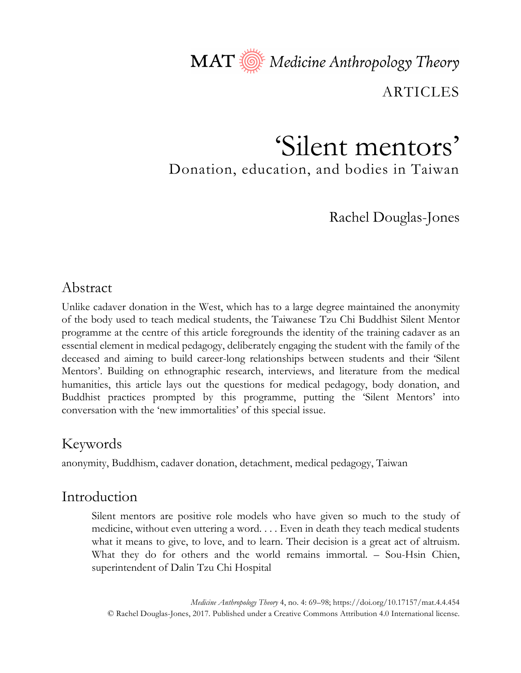MAT Nedicine Anthropology Theory

ARTICLES

# 'Silent mentors' Donation, education, and bodies in Taiwan

Rachel Douglas-Jones

# Abstract

Unlike cadaver donation in the West, which has to a large degree maintained the anonymity of the body used to teach medical students, the Taiwanese Tzu Chi Buddhist Silent Mentor programme at the centre of this article foregrounds the identity of the training cadaver as an essential element in medical pedagogy, deliberately engaging the student with the family of the deceased and aiming to build career-long relationships between students and their 'Silent Mentors'. Building on ethnographic research, interviews, and literature from the medical humanities, this article lays out the questions for medical pedagogy, body donation, and Buddhist practices prompted by this programme, putting the 'Silent Mentors' into conversation with the 'new immortalities' of this special issue.

# Keywords

anonymity, Buddhism, cadaver donation, detachment, medical pedagogy, Taiwan

# Introduction

Silent mentors are positive role models who have given so much to the study of medicine, without even uttering a word. . . . Even in death they teach medical students what it means to give, to love, and to learn. Their decision is a great act of altruism. What they do for others and the world remains immortal. – Sou-Hsin Chien, superintendent of Dalin Tzu Chi Hospital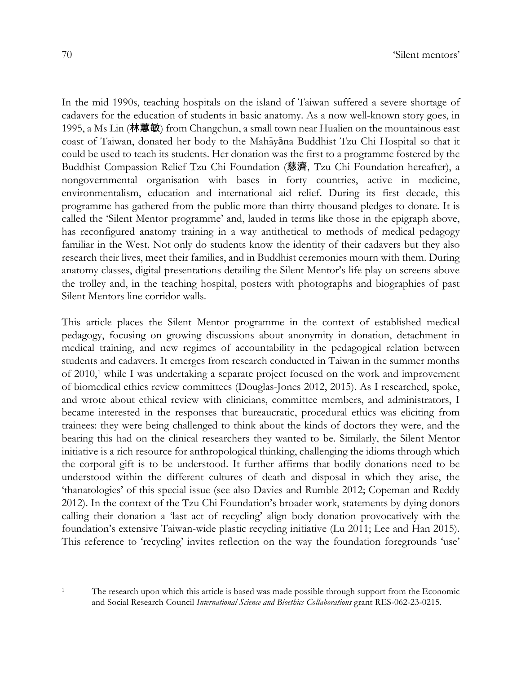In the mid 1990s, teaching hospitals on the island of Taiwan suffered a severe shortage of cadavers for the education of students in basic anatomy. As a now well-known story goes, in 1995, a Ms Lin (林蕙敏) from Changchun, a small town near Hualien on the mountainous east coast of Taiwan, donated her body to the Mahāyāna Buddhist Tzu Chi Hospital so that it could be used to teach its students. Her donation was the first to a programme fostered by the Buddhist Compassion Relief Tzu Chi Foundation (慈濟, Tzu Chi Foundation hereafter), a nongovernmental organisation with bases in forty countries, active in medicine, environmentalism, education and international aid relief. During its first decade, this programme has gathered from the public more than thirty thousand pledges to donate. It is called the 'Silent Mentor programme' and, lauded in terms like those in the epigraph above, has reconfigured anatomy training in a way antithetical to methods of medical pedagogy familiar in the West. Not only do students know the identity of their cadavers but they also research their lives, meet their families, and in Buddhist ceremonies mourn with them. During anatomy classes, digital presentations detailing the Silent Mentor's life play on screens above the trolley and, in the teaching hospital, posters with photographs and biographies of past Silent Mentors line corridor walls.

This article places the Silent Mentor programme in the context of established medical pedagogy, focusing on growing discussions about anonymity in donation, detachment in medical training, and new regimes of accountability in the pedagogical relation between students and cadavers. It emerges from research conducted in Taiwan in the summer months of 2010,1 while I was undertaking a separate project focused on the work and improvement of biomedical ethics review committees (Douglas-Jones 2012, 2015). As I researched, spoke, and wrote about ethical review with clinicians, committee members, and administrators, I became interested in the responses that bureaucratic, procedural ethics was eliciting from trainees: they were being challenged to think about the kinds of doctors they were, and the bearing this had on the clinical researchers they wanted to be. Similarly, the Silent Mentor initiative is a rich resource for anthropological thinking, challenging the idioms through which the corporal gift is to be understood. It further affirms that bodily donations need to be understood within the different cultures of death and disposal in which they arise, the 'thanatologies' of this special issue (see also Davies and Rumble 2012; Copeman and Reddy 2012). In the context of the Tzu Chi Foundation's broader work, statements by dying donors calling their donation a 'last act of recycling' align body donation provocatively with the foundation's extensive Taiwan-wide plastic recycling initiative (Lu 2011; Lee and Han 2015). This reference to 'recycling' invites reflection on the way the foundation foregrounds 'use'

<sup>&</sup>lt;sup>1</sup> The research upon which this article is based was made possible through support from the Economic and Social Research Council *International Science and Bioethics Collaborations* grant RES-062-23-0215.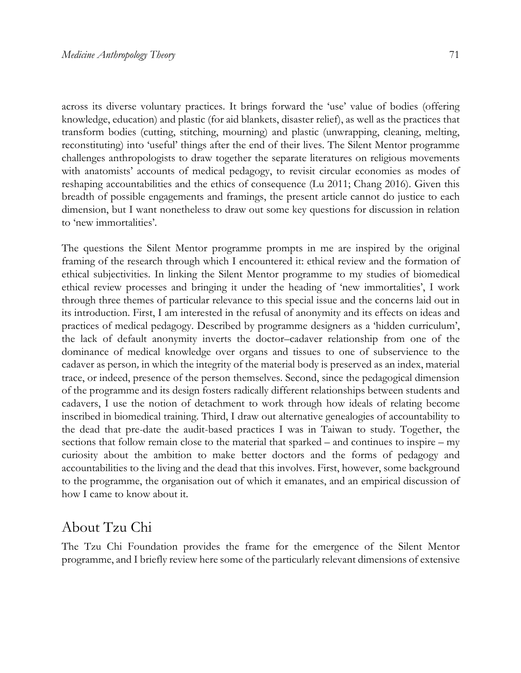across its diverse voluntary practices. It brings forward the 'use' value of bodies (offering knowledge, education) and plastic (for aid blankets, disaster relief), as well as the practices that transform bodies (cutting, stitching, mourning) and plastic (unwrapping, cleaning, melting, reconstituting) into 'useful' things after the end of their lives. The Silent Mentor programme challenges anthropologists to draw together the separate literatures on religious movements with anatomists' accounts of medical pedagogy, to revisit circular economies as modes of reshaping accountabilities and the ethics of consequence (Lu 2011; Chang 2016). Given this breadth of possible engagements and framings, the present article cannot do justice to each dimension, but I want nonetheless to draw out some key questions for discussion in relation to 'new immortalities'.

The questions the Silent Mentor programme prompts in me are inspired by the original framing of the research through which I encountered it: ethical review and the formation of ethical subjectivities. In linking the Silent Mentor programme to my studies of biomedical ethical review processes and bringing it under the heading of 'new immortalities', I work through three themes of particular relevance to this special issue and the concerns laid out in its introduction. First, I am interested in the refusal of anonymity and its effects on ideas and practices of medical pedagogy. Described by programme designers as a 'hidden curriculum', the lack of default anonymity inverts the doctor–cadaver relationship from one of the dominance of medical knowledge over organs and tissues to one of subservience to the cadaver as person*,* in which the integrity of the material body is preserved as an index, material trace, or indeed, presence of the person themselves. Second, since the pedagogical dimension of the programme and its design fosters radically different relationships between students and cadavers, I use the notion of detachment to work through how ideals of relating become inscribed in biomedical training. Third, I draw out alternative genealogies of accountability to the dead that pre-date the audit-based practices I was in Taiwan to study. Together, the sections that follow remain close to the material that sparked – and continues to inspire – my curiosity about the ambition to make better doctors and the forms of pedagogy and accountabilities to the living and the dead that this involves. First, however, some background to the programme, the organisation out of which it emanates, and an empirical discussion of how I came to know about it.

#### About Tzu Chi

The Tzu Chi Foundation provides the frame for the emergence of the Silent Mentor programme, and I briefly review here some of the particularly relevant dimensions of extensive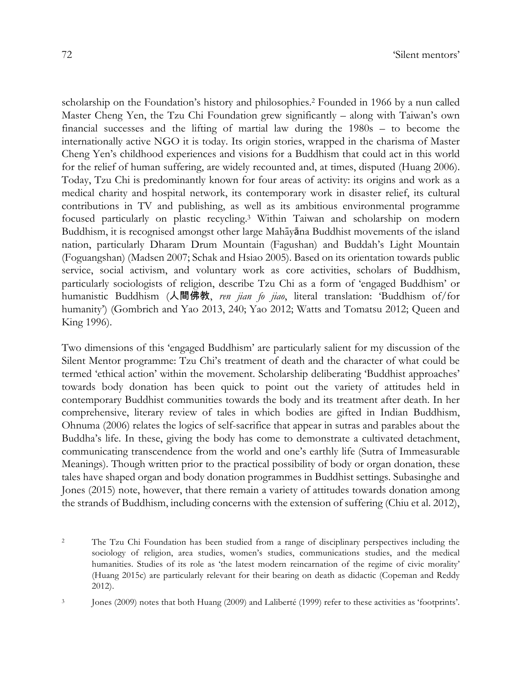scholarship on the Foundation's history and philosophies.2 Founded in 1966 by a nun called Master Cheng Yen, the Tzu Chi Foundation grew significantly – along with Taiwan's own financial successes and the lifting of martial law during the 1980s – to become the internationally active NGO it is today. Its origin stories, wrapped in the charisma of Master Cheng Yen's childhood experiences and visions for a Buddhism that could act in this world for the relief of human suffering, are widely recounted and, at times, disputed (Huang 2006). Today, Tzu Chi is predominantly known for four areas of activity: its origins and work as a medical charity and hospital network, its contemporary work in disaster relief, its cultural contributions in TV and publishing, as well as its ambitious environmental programme focused particularly on plastic recycling.3 Within Taiwan and scholarship on modern Buddhism, it is recognised amongst other large Mahāyāna Buddhist movements of the island nation, particularly Dharam Drum Mountain (Fagushan) and Buddah's Light Mountain (Foguangshan) (Madsen 2007; Schak and Hsiao 2005). Based on its orientation towards public service, social activism, and voluntary work as core activities, scholars of Buddhism, particularly sociologists of religion, describe Tzu Chi as a form of 'engaged Buddhism' or humanistic Buddhism (人間佛教, *ren jian fo jiao*, literal translation: 'Buddhism of/for humanity') (Gombrich and Yao 2013, 240; Yao 2012; Watts and Tomatsu 2012; Queen and King 1996).

Two dimensions of this 'engaged Buddhism' are particularly salient for my discussion of the Silent Mentor programme: Tzu Chi's treatment of death and the character of what could be termed 'ethical action' within the movement. Scholarship deliberating 'Buddhist approaches' towards body donation has been quick to point out the variety of attitudes held in contemporary Buddhist communities towards the body and its treatment after death. In her comprehensive, literary review of tales in which bodies are gifted in Indian Buddhism, Ohnuma (2006) relates the logics of self-sacrifice that appear in sutras and parables about the Buddha's life. In these, giving the body has come to demonstrate a cultivated detachment, communicating transcendence from the world and one's earthly life (Sutra of Immeasurable Meanings). Though written prior to the practical possibility of body or organ donation, these tales have shaped organ and body donation programmes in Buddhist settings. Subasinghe and Jones (2015) note, however, that there remain a variety of attitudes towards donation among the strands of Buddhism, including concerns with the extension of suffering (Chiu et al. 2012),

<sup>&</sup>lt;sup>2</sup> The Tzu Chi Foundation has been studied from a range of disciplinary perspectives including the sociology of religion, area studies, women's studies, communications studies, and the medical humanities. Studies of its role as 'the latest modern reincarnation of the regime of civic morality' (Huang 2015c) are particularly relevant for their bearing on death as didactic (Copeman and Reddy 2012).

<sup>3</sup> Jones (2009) notes that both Huang (2009) and Laliberté (1999) refer to these activities as 'footprints'.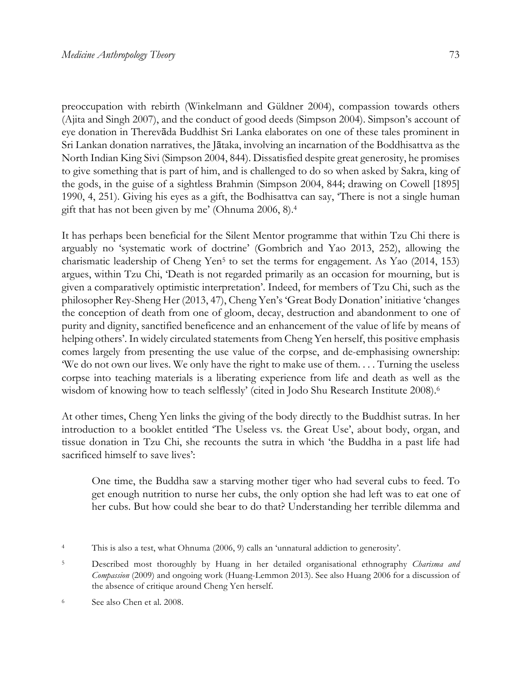preoccupation with rebirth (Winkelmann and Güldner 2004), compassion towards others (Ajita and Singh 2007), and the conduct of good deeds (Simpson 2004). Simpson's account of eye donation in Therevāda Buddhist Sri Lanka elaborates on one of these tales prominent in Sri Lankan donation narratives, the Jātaka, involving an incarnation of the Boddhisattva as the North Indian King Sivi (Simpson 2004, 844). Dissatisfied despite great generosity, he promises to give something that is part of him, and is challenged to do so when asked by Sakra, king of the gods, in the guise of a sightless Brahmin (Simpson 2004, 844; drawing on Cowell [1895] 1990, 4, 251). Giving his eyes as a gift, the Bodhisattva can say, 'There is not a single human gift that has not been given by me' (Ohnuma 2006, 8).4

It has perhaps been beneficial for the Silent Mentor programme that within Tzu Chi there is arguably no 'systematic work of doctrine' (Gombrich and Yao 2013, 252), allowing the charismatic leadership of Cheng Yen<sup>5</sup> to set the terms for engagement. As Yao (2014, 153) argues, within Tzu Chi, 'Death is not regarded primarily as an occasion for mourning, but is given a comparatively optimistic interpretation'. Indeed, for members of Tzu Chi, such as the philosopher Rey-Sheng Her (2013, 47), Cheng Yen's 'Great Body Donation' initiative 'changes the conception of death from one of gloom, decay, destruction and abandonment to one of purity and dignity, sanctified beneficence and an enhancement of the value of life by means of helping others'. In widely circulated statements from Cheng Yen herself, this positive emphasis comes largely from presenting the use value of the corpse, and de-emphasising ownership: 'We do not own our lives. We only have the right to make use of them. . . . Turning the useless corpse into teaching materials is a liberating experience from life and death as well as the wisdom of knowing how to teach selflessly' (cited in Jodo Shu Research Institute 2008).6

At other times, Cheng Yen links the giving of the body directly to the Buddhist sutras. In her introduction to a booklet entitled 'The Useless vs. the Great Use', about body, organ, and tissue donation in Tzu Chi, she recounts the sutra in which 'the Buddha in a past life had sacrificed himself to save lives':

One time, the Buddha saw a starving mother tiger who had several cubs to feed. To get enough nutrition to nurse her cubs, the only option she had left was to eat one of her cubs. But how could she bear to do that? Understanding her terrible dilemma and

<sup>4</sup> This is also a test, what Ohnuma (2006, 9) calls an 'unnatural addiction to generosity'.

<sup>5</sup> Described most thoroughly by Huang in her detailed organisational ethnography *Charisma and Compassion* (2009) and ongoing work (Huang-Lemmon 2013). See also Huang 2006 for a discussion of the absence of critique around Cheng Yen herself.

<sup>6</sup> See also Chen et al. 2008.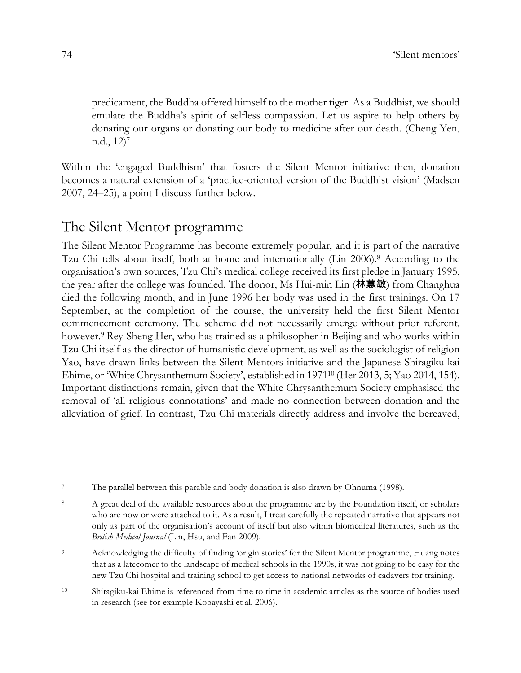predicament, the Buddha offered himself to the mother tiger. As a Buddhist, we should emulate the Buddha's spirit of selfless compassion. Let us aspire to help others by donating our organs or donating our body to medicine after our death. (Cheng Yen, n.d., 12)7

Within the 'engaged Buddhism' that fosters the Silent Mentor initiative then, donation becomes a natural extension of a 'practice-oriented version of the Buddhist vision' (Madsen 2007, 24–25), a point I discuss further below.

## The Silent Mentor programme

The Silent Mentor Programme has become extremely popular, and it is part of the narrative Tzu Chi tells about itself, both at home and internationally (Lin 2006).8 According to the organisation's own sources, Tzu Chi's medical college received its first pledge in January 1995, the year after the college was founded. The donor, Ms Hui-min Lin (林蕙敏) from Changhua died the following month, and in June 1996 her body was used in the first trainings. On 17 September, at the completion of the course, the university held the first Silent Mentor commencement ceremony. The scheme did not necessarily emerge without prior referent, however.<sup>9</sup> Rey-Sheng Her, who has trained as a philosopher in Beijing and who works within Tzu Chi itself as the director of humanistic development, as well as the sociologist of religion Yao, have drawn links between the Silent Mentors initiative and the Japanese Shiragiku-kai Ehime, or 'White Chrysanthemum Society', established in 197110 (Her 2013, 5; Yao 2014, 154). Important distinctions remain, given that the White Chrysanthemum Society emphasised the removal of 'all religious connotations' and made no connection between donation and the alleviation of grief. In contrast, Tzu Chi materials directly address and involve the bereaved,

<sup>7</sup> The parallel between this parable and body donation is also drawn by Ohnuma (1998).

<sup>8</sup> A great deal of the available resources about the programme are by the Foundation itself, or scholars who are now or were attached to it. As a result, I treat carefully the repeated narrative that appears not only as part of the organisation's account of itself but also within biomedical literatures, such as the *British Medical Journal* (Lin, Hsu, and Fan 2009).

<sup>9</sup> Acknowledging the difficulty of finding 'origin stories' for the Silent Mentor programme, Huang notes that as a latecomer to the landscape of medical schools in the 1990s, it was not going to be easy for the new Tzu Chi hospital and training school to get access to national networks of cadavers for training.

<sup>10</sup> Shiragiku-kai Ehime is referenced from time to time in academic articles as the source of bodies used in research (see for example Kobayashi et al. 2006).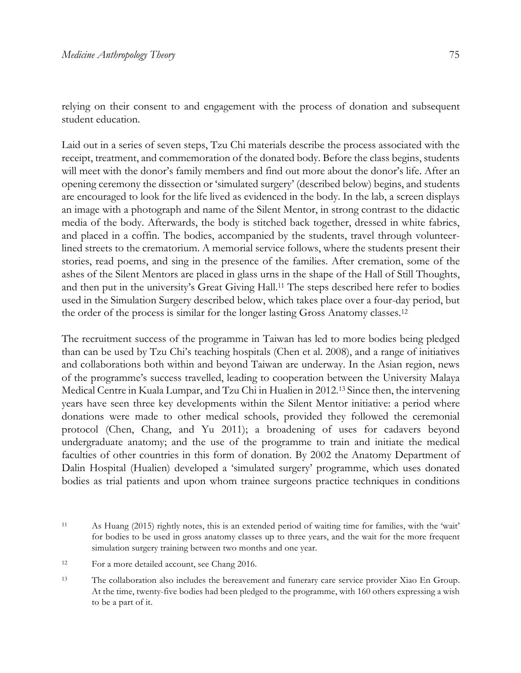relying on their consent to and engagement with the process of donation and subsequent student education.

Laid out in a series of seven steps, Tzu Chi materials describe the process associated with the receipt, treatment, and commemoration of the donated body. Before the class begins, students will meet with the donor's family members and find out more about the donor's life. After an opening ceremony the dissection or 'simulated surgery' (described below) begins, and students are encouraged to look for the life lived as evidenced in the body. In the lab, a screen displays an image with a photograph and name of the Silent Mentor, in strong contrast to the didactic media of the body. Afterwards, the body is stitched back together, dressed in white fabrics, and placed in a coffin. The bodies, accompanied by the students, travel through volunteerlined streets to the crematorium. A memorial service follows, where the students present their stories, read poems, and sing in the presence of the families. After cremation, some of the ashes of the Silent Mentors are placed in glass urns in the shape of the Hall of Still Thoughts, and then put in the university's Great Giving Hall.11 The steps described here refer to bodies used in the Simulation Surgery described below, which takes place over a four-day period, but the order of the process is similar for the longer lasting Gross Anatomy classes.12

The recruitment success of the programme in Taiwan has led to more bodies being pledged than can be used by Tzu Chi's teaching hospitals (Chen et al. 2008), and a range of initiatives and collaborations both within and beyond Taiwan are underway. In the Asian region, news of the programme's success travelled, leading to cooperation between the University Malaya Medical Centre in Kuala Lumpar, and Tzu Chi in Hualien in 2012.13 Since then, the intervening years have seen three key developments within the Silent Mentor initiative: a period where donations were made to other medical schools, provided they followed the ceremonial protocol (Chen, Chang, and Yu 2011); a broadening of uses for cadavers beyond undergraduate anatomy; and the use of the programme to train and initiate the medical faculties of other countries in this form of donation. By 2002 the Anatomy Department of Dalin Hospital (Hualien) developed a 'simulated surgery' programme, which uses donated bodies as trial patients and upon whom trainee surgeons practice techniques in conditions

<sup>11</sup> As Huang (2015) rightly notes, this is an extended period of waiting time for families, with the 'wait' for bodies to be used in gross anatomy classes up to three years, and the wait for the more frequent simulation surgery training between two months and one year.

<sup>12</sup> For a more detailed account, see Chang 2016.

<sup>13</sup> The collaboration also includes the bereavement and funerary care service provider Xiao En Group. At the time, twenty-five bodies had been pledged to the programme, with 160 others expressing a wish to be a part of it.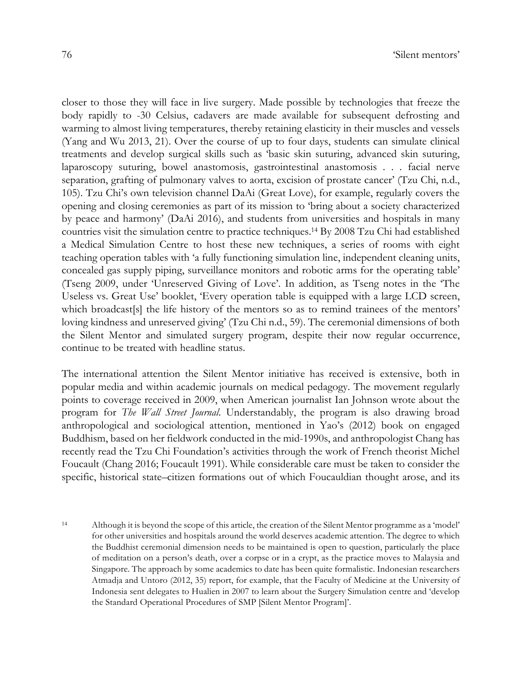closer to those they will face in live surgery. Made possible by technologies that freeze the body rapidly to -30 Celsius, cadavers are made available for subsequent defrosting and warming to almost living temperatures, thereby retaining elasticity in their muscles and vessels (Yang and Wu 2013, 21). Over the course of up to four days, students can simulate clinical treatments and develop surgical skills such as 'basic skin suturing, advanced skin suturing, laparoscopy suturing, bowel anastomosis, gastrointestinal anastomosis . . . facial nerve separation, grafting of pulmonary valves to aorta, excision of prostate cancer' (Tzu Chi, n.d., 105). Tzu Chi's own television channel DaAi (Great Love), for example, regularly covers the opening and closing ceremonies as part of its mission to 'bring about a society characterized by peace and harmony' (DaAi 2016), and students from universities and hospitals in many countries visit the simulation centre to practice techniques.14 By 2008 Tzu Chi had established a Medical Simulation Centre to host these new techniques, a series of rooms with eight teaching operation tables with 'a fully functioning simulation line, independent cleaning units, concealed gas supply piping, surveillance monitors and robotic arms for the operating table' (Tseng 2009, under 'Unreserved Giving of Love'. In addition, as Tseng notes in the 'The Useless vs. Great Use' booklet, 'Every operation table is equipped with a large LCD screen, which broadcast[s] the life history of the mentors so as to remind trainees of the mentors' loving kindness and unreserved giving' (Tzu Chi n.d., 59). The ceremonial dimensions of both the Silent Mentor and simulated surgery program, despite their now regular occurrence, continue to be treated with headline status.

The international attention the Silent Mentor initiative has received is extensive, both in popular media and within academic journals on medical pedagogy. The movement regularly points to coverage received in 2009, when American journalist Ian Johnson wrote about the program for *The Wall Street Journal*. Understandably, the program is also drawing broad anthropological and sociological attention, mentioned in Yao's (2012) book on engaged Buddhism, based on her fieldwork conducted in the mid-1990s, and anthropologist Chang has recently read the Tzu Chi Foundation's activities through the work of French theorist Michel Foucault (Chang 2016; Foucault 1991). While considerable care must be taken to consider the specific, historical state–citizen formations out of which Foucauldian thought arose, and its

<sup>14</sup> Although it is beyond the scope of this article, the creation of the Silent Mentor programme as a 'model' for other universities and hospitals around the world deserves academic attention. The degree to which the Buddhist ceremonial dimension needs to be maintained is open to question, particularly the place of meditation on a person's death, over a corpse or in a crypt, as the practice moves to Malaysia and Singapore. The approach by some academics to date has been quite formalistic. Indonesian researchers Atmadja and Untoro (2012, 35) report, for example, that the Faculty of Medicine at the University of Indonesia sent delegates to Hualien in 2007 to learn about the Surgery Simulation centre and 'develop the Standard Operational Procedures of SMP [Silent Mentor Program]'.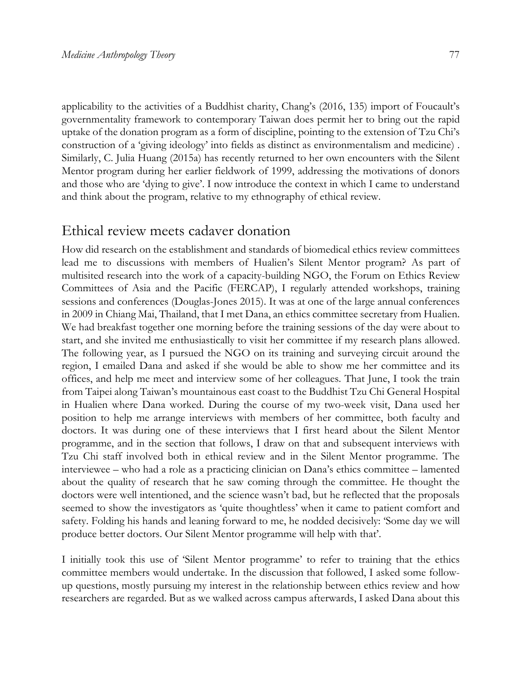applicability to the activities of a Buddhist charity, Chang's (2016, 135) import of Foucault's governmentality framework to contemporary Taiwan does permit her to bring out the rapid uptake of the donation program as a form of discipline, pointing to the extension of Tzu Chi's construction of a 'giving ideology' into fields as distinct as environmentalism and medicine) . Similarly, C. Julia Huang (2015a) has recently returned to her own encounters with the Silent Mentor program during her earlier fieldwork of 1999, addressing the motivations of donors and those who are 'dying to give'. I now introduce the context in which I came to understand and think about the program, relative to my ethnography of ethical review.

# Ethical review meets cadaver donation

How did research on the establishment and standards of biomedical ethics review committees lead me to discussions with members of Hualien's Silent Mentor program? As part of multisited research into the work of a capacity-building NGO, the Forum on Ethics Review Committees of Asia and the Pacific (FERCAP), I regularly attended workshops, training sessions and conferences (Douglas-Jones 2015). It was at one of the large annual conferences in 2009 in Chiang Mai, Thailand, that I met Dana, an ethics committee secretary from Hualien. We had breakfast together one morning before the training sessions of the day were about to start, and she invited me enthusiastically to visit her committee if my research plans allowed. The following year, as I pursued the NGO on its training and surveying circuit around the region, I emailed Dana and asked if she would be able to show me her committee and its offices, and help me meet and interview some of her colleagues. That June, I took the train from Taipei along Taiwan's mountainous east coast to the Buddhist Tzu Chi General Hospital in Hualien where Dana worked. During the course of my two-week visit, Dana used her position to help me arrange interviews with members of her committee, both faculty and doctors. It was during one of these interviews that I first heard about the Silent Mentor programme, and in the section that follows, I draw on that and subsequent interviews with Tzu Chi staff involved both in ethical review and in the Silent Mentor programme. The interviewee – who had a role as a practicing clinician on Dana's ethics committee – lamented about the quality of research that he saw coming through the committee. He thought the doctors were well intentioned, and the science wasn't bad, but he reflected that the proposals seemed to show the investigators as 'quite thoughtless' when it came to patient comfort and safety. Folding his hands and leaning forward to me, he nodded decisively: 'Some day we will produce better doctors. Our Silent Mentor programme will help with that'.

I initially took this use of 'Silent Mentor programme' to refer to training that the ethics committee members would undertake. In the discussion that followed, I asked some followup questions, mostly pursuing my interest in the relationship between ethics review and how researchers are regarded. But as we walked across campus afterwards, I asked Dana about this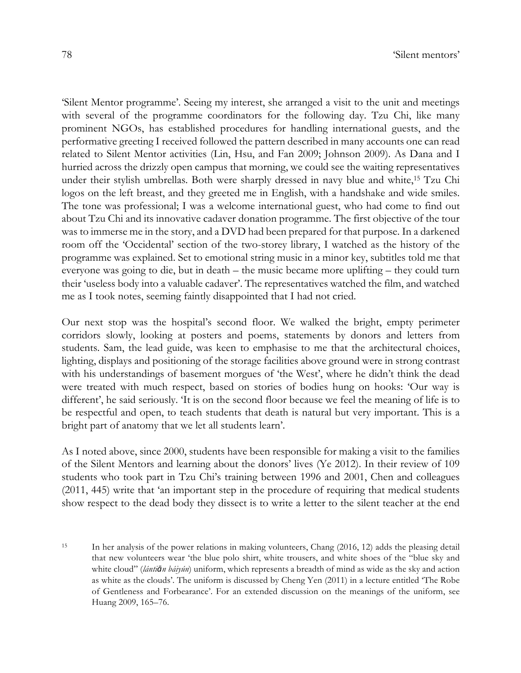'Silent Mentor programme'. Seeing my interest, she arranged a visit to the unit and meetings with several of the programme coordinators for the following day. Tzu Chi, like many prominent NGOs, has established procedures for handling international guests, and the performative greeting I received followed the pattern described in many accounts one can read related to Silent Mentor activities (Lin, Hsu, and Fan 2009; Johnson 2009). As Dana and I hurried across the drizzly open campus that morning, we could see the waiting representatives under their stylish umbrellas. Both were sharply dressed in navy blue and white,15 Tzu Chi logos on the left breast, and they greeted me in English, with a handshake and wide smiles. The tone was professional; I was a welcome international guest, who had come to find out about Tzu Chi and its innovative cadaver donation programme. The first objective of the tour was to immerse me in the story, and a DVD had been prepared for that purpose. In a darkened room off the 'Occidental' section of the two-storey library, I watched as the history of the programme was explained. Set to emotional string music in a minor key, subtitles told me that everyone was going to die, but in death – the music became more uplifting – they could turn their 'useless body into a valuable cadaver'. The representatives watched the film, and watched me as I took notes, seeming faintly disappointed that I had not cried.

Our next stop was the hospital's second floor. We walked the bright, empty perimeter corridors slowly, looking at posters and poems, statements by donors and letters from students. Sam, the lead guide, was keen to emphasise to me that the architectural choices, lighting, displays and positioning of the storage facilities above ground were in strong contrast with his understandings of basement morgues of 'the West', where he didn't think the dead were treated with much respect, based on stories of bodies hung on hooks: 'Our way is different', he said seriously. 'It is on the second floor because we feel the meaning of life is to be respectful and open, to teach students that death is natural but very important. This is a bright part of anatomy that we let all students learn'.

As I noted above, since 2000, students have been responsible for making a visit to the families of the Silent Mentors and learning about the donors' lives (Ye 2012). In their review of 109 students who took part in Tzu Chi's training between 1996 and 2001, Chen and colleagues (2011, 445) write that 'an important step in the procedure of requiring that medical students show respect to the dead body they dissect is to write a letter to the silent teacher at the end

<sup>15</sup> In her analysis of the power relations in making volunteers, Chang (2016, 12) adds the pleasing detail that new volunteers wear 'the blue polo shirt, white trousers, and white shoes of the "blue sky and white cloud" (*lántiān báiyún*) uniform, which represents a breadth of mind as wide as the sky and action as white as the clouds'. The uniform is discussed by Cheng Yen (2011) in a lecture entitled 'The Robe of Gentleness and Forbearance'. For an extended discussion on the meanings of the uniform, see Huang 2009, 165–76.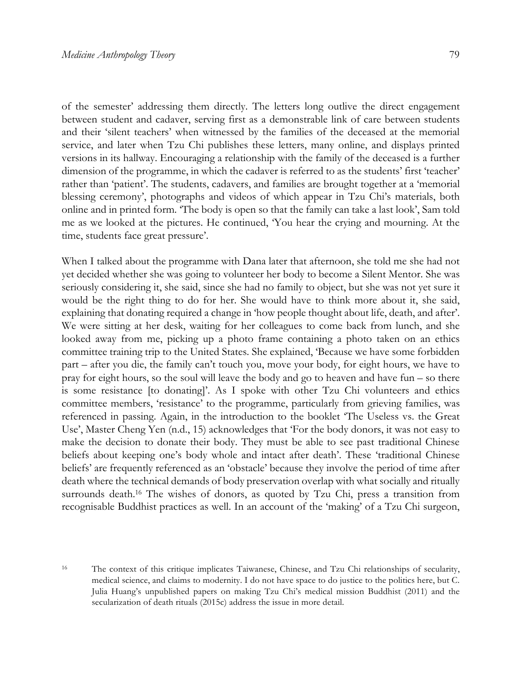of the semester' addressing them directly. The letters long outlive the direct engagement between student and cadaver, serving first as a demonstrable link of care between students and their 'silent teachers' when witnessed by the families of the deceased at the memorial service, and later when Tzu Chi publishes these letters, many online, and displays printed versions in its hallway. Encouraging a relationship with the family of the deceased is a further dimension of the programme, in which the cadaver is referred to as the students' first 'teacher' rather than 'patient'. The students, cadavers, and families are brought together at a 'memorial blessing ceremony', photographs and videos of which appear in Tzu Chi's materials, both online and in printed form. 'The body is open so that the family can take a last look', Sam told me as we looked at the pictures. He continued, 'You hear the crying and mourning. At the time, students face great pressure'.

When I talked about the programme with Dana later that afternoon, she told me she had not yet decided whether she was going to volunteer her body to become a Silent Mentor. She was seriously considering it, she said, since she had no family to object, but she was not yet sure it would be the right thing to do for her. She would have to think more about it, she said, explaining that donating required a change in 'how people thought about life, death, and after'. We were sitting at her desk, waiting for her colleagues to come back from lunch, and she looked away from me, picking up a photo frame containing a photo taken on an ethics committee training trip to the United States. She explained, 'Because we have some forbidden part – after you die, the family can't touch you, move your body, for eight hours, we have to pray for eight hours, so the soul will leave the body and go to heaven and have fun – so there is some resistance [to donating]'. As I spoke with other Tzu Chi volunteers and ethics committee members, 'resistance' to the programme, particularly from grieving families, was referenced in passing. Again, in the introduction to the booklet 'The Useless vs. the Great Use', Master Cheng Yen (n.d., 15) acknowledges that 'For the body donors, it was not easy to make the decision to donate their body. They must be able to see past traditional Chinese beliefs about keeping one's body whole and intact after death'. These 'traditional Chinese beliefs' are frequently referenced as an 'obstacle' because they involve the period of time after death where the technical demands of body preservation overlap with what socially and ritually surrounds death.16 The wishes of donors, as quoted by Tzu Chi, press a transition from recognisable Buddhist practices as well. In an account of the 'making' of a Tzu Chi surgeon,

<sup>16</sup> The context of this critique implicates Taiwanese, Chinese, and Tzu Chi relationships of secularity, medical science, and claims to modernity. I do not have space to do justice to the politics here, but C. Julia Huang's unpublished papers on making Tzu Chi's medical mission Buddhist (2011) and the secularization of death rituals (2015c) address the issue in more detail.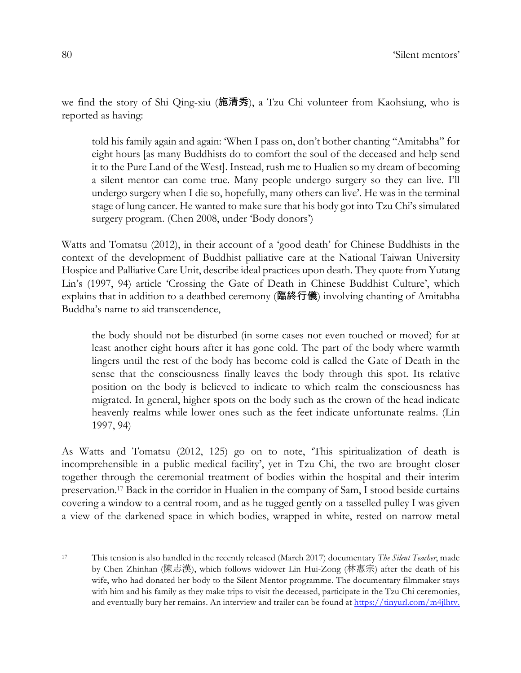we find the story of Shi Qing-xiu (施清秀), a Tzu Chi volunteer from Kaohsiung, who is reported as having:

told his family again and again: 'When I pass on, don't bother chanting "Amitabha" for eight hours [as many Buddhists do to comfort the soul of the deceased and help send it to the Pure Land of the West]. Instead, rush me to Hualien so my dream of becoming a silent mentor can come true. Many people undergo surgery so they can live. I'll undergo surgery when I die so, hopefully, many others can live'. He was in the terminal stage of lung cancer. He wanted to make sure that his body got into Tzu Chi's simulated surgery program. (Chen 2008, under 'Body donors')

Watts and Tomatsu (2012), in their account of a 'good death' for Chinese Buddhists in the context of the development of Buddhist palliative care at the National Taiwan University Hospice and Palliative Care Unit, describe ideal practices upon death. They quote from Yutang Lin's (1997, 94) article 'Crossing the Gate of Death in Chinese Buddhist Culture', which explains that in addition to a deathbed ceremony (臨終行儀) involving chanting of Amitabha Buddha's name to aid transcendence,

the body should not be disturbed (in some cases not even touched or moved) for at least another eight hours after it has gone cold. The part of the body where warmth lingers until the rest of the body has become cold is called the Gate of Death in the sense that the consciousness finally leaves the body through this spot. Its relative position on the body is believed to indicate to which realm the consciousness has migrated. In general, higher spots on the body such as the crown of the head indicate heavenly realms while lower ones such as the feet indicate unfortunate realms. (Lin 1997, 94)

As Watts and Tomatsu (2012, 125) go on to note, 'This spiritualization of death is incomprehensible in a public medical facility', yet in Tzu Chi, the two are brought closer together through the ceremonial treatment of bodies within the hospital and their interim preservation.17 Back in the corridor in Hualien in the company of Sam, I stood beside curtains covering a window to a central room, and as he tugged gently on a tasselled pulley I was given a view of the darkened space in which bodies, wrapped in white, rested on narrow metal

<sup>17</sup> This tension is also handled in the recently released (March 2017) documentary *The Silent Teacher*, made by Chen Zhinhan (陳志漢), which follows widower Lin Hui-Zong (林惠宗) after the death of his wife, who had donated her body to the Silent Mentor programme. The documentary filmmaker stays with him and his family as they make trips to visit the deceased, participate in the Tzu Chi ceremonies, and eventually bury her remains. An interview and trailer can be found at https://tinyurl.com/m4jlhtv.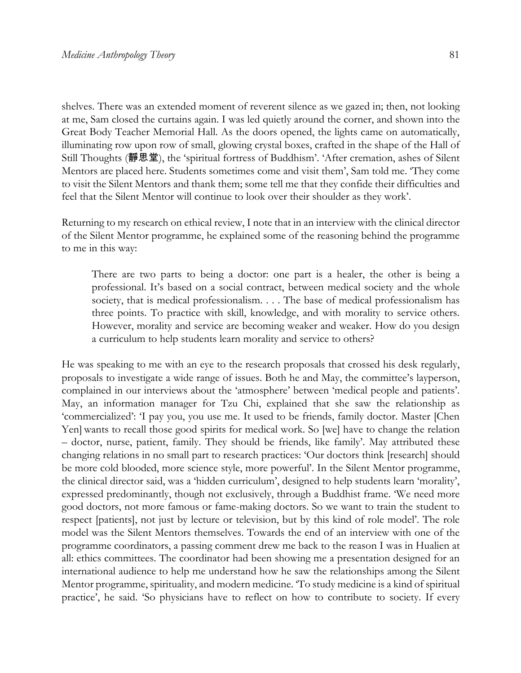shelves. There was an extended moment of reverent silence as we gazed in; then, not looking at me, Sam closed the curtains again. I was led quietly around the corner, and shown into the Great Body Teacher Memorial Hall. As the doors opened, the lights came on automatically, illuminating row upon row of small, glowing crystal boxes, crafted in the shape of the Hall of Still Thoughts (靜思堂), the 'spiritual fortress of Buddhism'. 'After cremation, ashes of Silent Mentors are placed here. Students sometimes come and visit them', Sam told me. 'They come to visit the Silent Mentors and thank them; some tell me that they confide their difficulties and feel that the Silent Mentor will continue to look over their shoulder as they work'.

Returning to my research on ethical review, I note that in an interview with the clinical director of the Silent Mentor programme, he explained some of the reasoning behind the programme to me in this way:

There are two parts to being a doctor: one part is a healer, the other is being a professional. It's based on a social contract, between medical society and the whole society, that is medical professionalism. . . . The base of medical professionalism has three points. To practice with skill, knowledge, and with morality to service others. However, morality and service are becoming weaker and weaker. How do you design a curriculum to help students learn morality and service to others?

He was speaking to me with an eye to the research proposals that crossed his desk regularly, proposals to investigate a wide range of issues. Both he and May, the committee's layperson, complained in our interviews about the 'atmosphere' between 'medical people and patients'. May, an information manager for Tzu Chi, explained that she saw the relationship as 'commercialized': 'I pay you, you use me. It used to be friends, family doctor. Master [Chen Yen] wants to recall those good spirits for medical work. So [we] have to change the relation – doctor, nurse, patient, family. They should be friends, like family'. May attributed these changing relations in no small part to research practices: 'Our doctors think [research] should be more cold blooded, more science style, more powerful'. In the Silent Mentor programme, the clinical director said, was a 'hidden curriculum', designed to help students learn 'morality', expressed predominantly, though not exclusively, through a Buddhist frame. 'We need more good doctors, not more famous or fame-making doctors. So we want to train the student to respect [patients], not just by lecture or television, but by this kind of role model'. The role model was the Silent Mentors themselves. Towards the end of an interview with one of the programme coordinators, a passing comment drew me back to the reason I was in Hualien at all: ethics committees. The coordinator had been showing me a presentation designed for an international audience to help me understand how he saw the relationships among the Silent Mentor programme, spirituality, and modern medicine. 'To study medicine is a kind of spiritual practice', he said. 'So physicians have to reflect on how to contribute to society. If every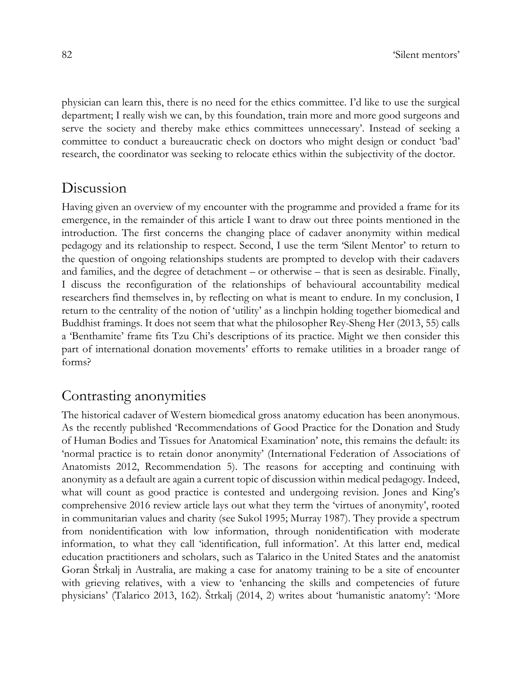physician can learn this, there is no need for the ethics committee. I'd like to use the surgical department; I really wish we can, by this foundation, train more and more good surgeons and serve the society and thereby make ethics committees unnecessary'. Instead of seeking a committee to conduct a bureaucratic check on doctors who might design or conduct 'bad' research, the coordinator was seeking to relocate ethics within the subjectivity of the doctor.

#### Discussion

Having given an overview of my encounter with the programme and provided a frame for its emergence, in the remainder of this article I want to draw out three points mentioned in the introduction. The first concerns the changing place of cadaver anonymity within medical pedagogy and its relationship to respect. Second, I use the term 'Silent Mentor' to return to the question of ongoing relationships students are prompted to develop with their cadavers and families, and the degree of detachment – or otherwise – that is seen as desirable. Finally, I discuss the reconfiguration of the relationships of behavioural accountability medical researchers find themselves in, by reflecting on what is meant to endure. In my conclusion, I return to the centrality of the notion of 'utility' as a linchpin holding together biomedical and Buddhist framings. It does not seem that what the philosopher Rey-Sheng Her (2013, 55) calls a 'Benthamite' frame fits Tzu Chi's descriptions of its practice. Might we then consider this part of international donation movements' efforts to remake utilities in a broader range of forms?

# Contrasting anonymities

The historical cadaver of Western biomedical gross anatomy education has been anonymous. As the recently published 'Recommendations of Good Practice for the Donation and Study of Human Bodies and Tissues for Anatomical Examination' note, this remains the default: its 'normal practice is to retain donor anonymity' (International Federation of Associations of Anatomists 2012, Recommendation 5). The reasons for accepting and continuing with anonymity as a default are again a current topic of discussion within medical pedagogy. Indeed, what will count as good practice is contested and undergoing revision. Jones and King's comprehensive 2016 review article lays out what they term the 'virtues of anonymity', rooted in communitarian values and charity (see Sukol 1995; Murray 1987). They provide a spectrum from nonidentification with low information, through nonidentification with moderate information, to what they call 'identification, full information'. At this latter end, medical education practitioners and scholars, such as Talarico in the United States and the anatomist Goran Štrkalj in Australia, are making a case for anatomy training to be a site of encounter with grieving relatives, with a view to 'enhancing the skills and competencies of future physicians' (Talarico 2013, 162). Štrkalj (2014, 2) writes about 'humanistic anatomy': 'More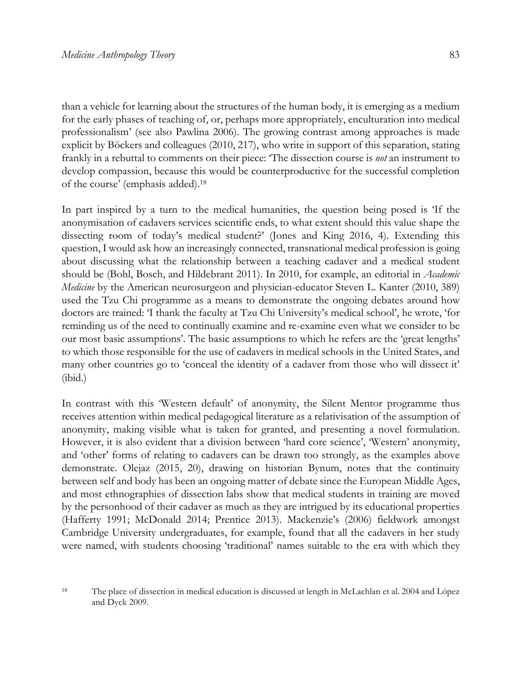than a vehicle for learning about the structures of the human body, it is emerging as a medium for the early phases of teaching of, or, perhaps more appropriately, enculturation into medical professionalism' (see also Pawlina 2006). The growing contrast among approaches is made explicit by Böckers and colleagues (2010, 217), who write in support of this separation, stating frankly in a rebuttal to comments on their piece: 'The dissection course is *not* an instrument to develop compassion, because this would be counterproductive for the successful completion of the course' (emphasis added).18

In part inspired by a turn to the medical humanities, the question being posed is 'If the anonymisation of cadavers services scientific ends, to what extent should this value shape the dissecting room of today's medical student?' (Jones and King 2016, 4). Extending this question, I would ask how an increasingly connected, transnational medical profession is going about discussing what the relationship between a teaching cadaver and a medical student should be (Bohl, Bosch, and Hildebrant 2011). In 2010, for example, an editorial in *Academic Medicine* by the American neurosurgeon and physician-educator Steven L. Kanter (2010, 389) used the Tzu Chi programme as a means to demonstrate the ongoing debates around how doctors are trained: 'I thank the faculty at Tzu Chi University's medical school', he wrote, 'for reminding us of the need to continually examine and re-examine even what we consider to be our most basic assumptions'. The basic assumptions to which he refers are the 'great lengths' to which those responsible for the use of cadavers in medical schools in the United States, and many other countries go to 'conceal the identity of a cadaver from those who will dissect it' (ibid.)

In contrast with this 'Western default' of anonymity, the Silent Mentor programme thus receives attention within medical pedagogical literature as a relativisation of the assumption of anonymity, making visible what is taken for granted, and presenting a novel formulation. However, it is also evident that a division between 'hard core science', 'Western' anonymity, and 'other' forms of relating to cadavers can be drawn too strongly, as the examples above demonstrate. Olejaz (2015, 20), drawing on historian Bynum, notes that the continuity between self and body has been an ongoing matter of debate since the European Middle Ages, and most ethnographies of dissection labs show that medical students in training are moved by the personhood of their cadaver as much as they are intrigued by its educational properties (Hafferty 1991; McDonald 2014; Prentice 2013). Mackenzie's (2006) fieldwork amongst Cambridge University undergraduates, for example, found that all the cadavers in her study were named, with students choosing 'traditional' names suitable to the era with which they

<sup>18</sup> The place of dissection in medical education is discussed at length in McLachlan et al. 2004 and López and Dyck 2009.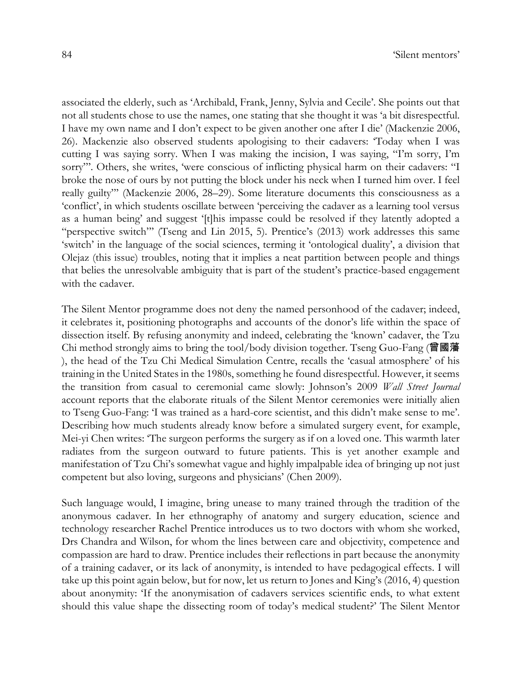associated the elderly, such as 'Archibald, Frank, Jenny, Sylvia and Cecile'. She points out that not all students chose to use the names, one stating that she thought it was 'a bit disrespectful. I have my own name and I don't expect to be given another one after I die' (Mackenzie 2006, 26). Mackenzie also observed students apologising to their cadavers: 'Today when I was cutting I was saying sorry. When I was making the incision, I was saying, "I'm sorry, I'm sorry"'. Others, she writes, 'were conscious of inflicting physical harm on their cadavers: "I broke the nose of ours by not putting the block under his neck when I turned him over. I feel really guilty"' (Mackenzie 2006, 28–29). Some literature documents this consciousness as a 'conflict', in which students oscillate between 'perceiving the cadaver as a learning tool versus as a human being' and suggest '[t]his impasse could be resolved if they latently adopted a "perspective switch"' (Tseng and Lin 2015, 5). Prentice's (2013) work addresses this same 'switch' in the language of the social sciences, terming it 'ontological duality', a division that Olejaz (this issue) troubles, noting that it implies a neat partition between people and things that belies the unresolvable ambiguity that is part of the student's practice-based engagement with the cadaver.

The Silent Mentor programme does not deny the named personhood of the cadaver; indeed, it celebrates it, positioning photographs and accounts of the donor's life within the space of dissection itself. By refusing anonymity and indeed, celebrating the 'known' cadaver, the Tzu Chi method strongly aims to bring the tool/body division together. Tseng Guo-Fang (曾國藩 ), the head of the Tzu Chi Medical Simulation Centre, recalls the 'casual atmosphere' of his training in the United States in the 1980s, something he found disrespectful. However, it seems the transition from casual to ceremonial came slowly: Johnson's 2009 *Wall Street Journal* account reports that the elaborate rituals of the Silent Mentor ceremonies were initially alien to Tseng Guo-Fang: 'I was trained as a hard-core scientist, and this didn't make sense to me'. Describing how much students already know before a simulated surgery event, for example, Mei-yi Chen writes: 'The surgeon performs the surgery as if on a loved one. This warmth later radiates from the surgeon outward to future patients. This is yet another example and manifestation of Tzu Chi's somewhat vague and highly impalpable idea of bringing up not just competent but also loving, surgeons and physicians' (Chen 2009).

Such language would, I imagine, bring unease to many trained through the tradition of the anonymous cadaver. In her ethnography of anatomy and surgery education, science and technology researcher Rachel Prentice introduces us to two doctors with whom she worked, Drs Chandra and Wilson, for whom the lines between care and objectivity, competence and compassion are hard to draw. Prentice includes their reflections in part because the anonymity of a training cadaver, or its lack of anonymity, is intended to have pedagogical effects. I will take up this point again below, but for now, let us return to Jones and King's (2016, 4) question about anonymity: 'If the anonymisation of cadavers services scientific ends, to what extent should this value shape the dissecting room of today's medical student?' The Silent Mentor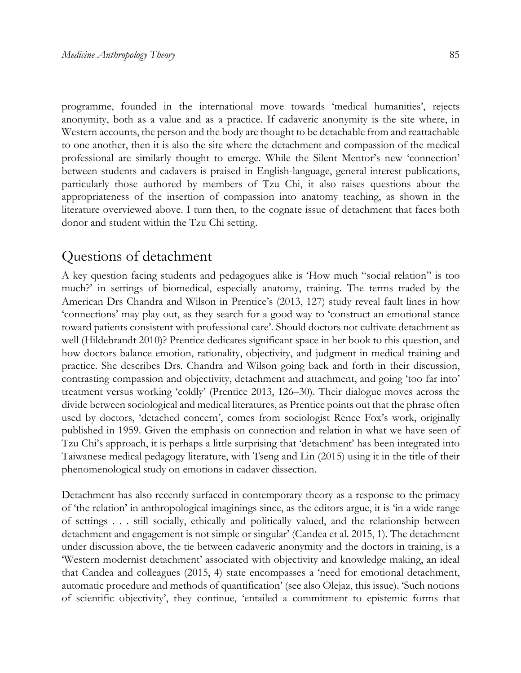programme, founded in the international move towards 'medical humanities', rejects anonymity, both as a value and as a practice. If cadaveric anonymity is the site where, in Western accounts, the person and the body are thought to be detachable from and reattachable to one another, then it is also the site where the detachment and compassion of the medical professional are similarly thought to emerge. While the Silent Mentor's new 'connection' between students and cadavers is praised in English-language, general interest publications, particularly those authored by members of Tzu Chi, it also raises questions about the appropriateness of the insertion of compassion into anatomy teaching, as shown in the literature overviewed above. I turn then, to the cognate issue of detachment that faces both donor and student within the Tzu Chi setting.

## Questions of detachment

A key question facing students and pedagogues alike is 'How much "social relation" is too much?' in settings of biomedical, especially anatomy, training. The terms traded by the American Drs Chandra and Wilson in Prentice's (2013, 127) study reveal fault lines in how 'connections' may play out, as they search for a good way to 'construct an emotional stance toward patients consistent with professional care'. Should doctors not cultivate detachment as well (Hildebrandt 2010)? Prentice dedicates significant space in her book to this question, and how doctors balance emotion, rationality, objectivity, and judgment in medical training and practice. She describes Drs. Chandra and Wilson going back and forth in their discussion, contrasting compassion and objectivity, detachment and attachment, and going 'too far into' treatment versus working 'coldly' (Prentice 2013, 126–30). Their dialogue moves across the divide between sociological and medical literatures, as Prentice points out that the phrase often used by doctors, 'detached concern', comes from sociologist Renee Fox's work, originally published in 1959. Given the emphasis on connection and relation in what we have seen of Tzu Chi's approach, it is perhaps a little surprising that 'detachment' has been integrated into Taiwanese medical pedagogy literature, with Tseng and Lin (2015) using it in the title of their phenomenological study on emotions in cadaver dissection.

Detachment has also recently surfaced in contemporary theory as a response to the primacy of 'the relation' in anthropological imaginings since, as the editors argue, it is 'in a wide range of settings . . . still socially, ethically and politically valued, and the relationship between detachment and engagement is not simple or singular' (Candea et al. 2015, 1). The detachment under discussion above, the tie between cadaveric anonymity and the doctors in training, is a 'Western modernist detachment' associated with objectivity and knowledge making, an ideal that Candea and colleagues (2015, 4) state encompasses a 'need for emotional detachment, automatic procedure and methods of quantification' (see also Olejaz, this issue). 'Such notions of scientific objectivity', they continue, 'entailed a commitment to epistemic forms that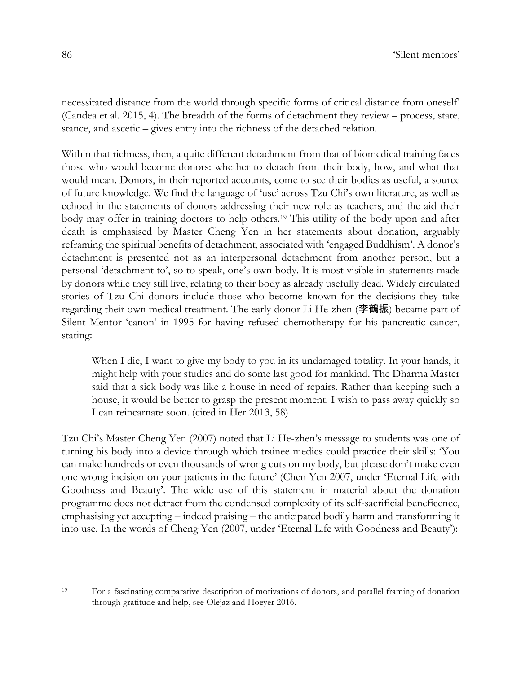necessitated distance from the world through specific forms of critical distance from oneself' (Candea et al. 2015, 4). The breadth of the forms of detachment they review – process, state, stance, and ascetic – gives entry into the richness of the detached relation.

Within that richness, then, a quite different detachment from that of biomedical training faces those who would become donors: whether to detach from their body, how, and what that would mean. Donors, in their reported accounts, come to see their bodies as useful, a source of future knowledge. We find the language of 'use' across Tzu Chi's own literature, as well as echoed in the statements of donors addressing their new role as teachers, and the aid their body may offer in training doctors to help others.<sup>19</sup> This utility of the body upon and after death is emphasised by Master Cheng Yen in her statements about donation, arguably reframing the spiritual benefits of detachment, associated with 'engaged Buddhism'. A donor's detachment is presented not as an interpersonal detachment from another person, but a personal 'detachment to', so to speak, one's own body. It is most visible in statements made by donors while they still live, relating to their body as already usefully dead. Widely circulated stories of Tzu Chi donors include those who become known for the decisions they take regarding their own medical treatment. The early donor Li He-zhen (李鶴振) became part of Silent Mentor 'canon' in 1995 for having refused chemotherapy for his pancreatic cancer, stating:

When I die, I want to give my body to you in its undamaged totality. In your hands, it might help with your studies and do some last good for mankind. The Dharma Master said that a sick body was like a house in need of repairs. Rather than keeping such a house, it would be better to grasp the present moment. I wish to pass away quickly so I can reincarnate soon. (cited in Her 2013, 58)

Tzu Chi's Master Cheng Yen (2007) noted that Li He-zhen's message to students was one of turning his body into a device through which trainee medics could practice their skills: 'You can make hundreds or even thousands of wrong cuts on my body, but please don't make even one wrong incision on your patients in the future' (Chen Yen 2007, under 'Eternal Life with Goodness and Beauty'. The wide use of this statement in material about the donation programme does not detract from the condensed complexity of its self-sacrificial beneficence, emphasising yet accepting – indeed praising – the anticipated bodily harm and transforming it into use. In the words of Cheng Yen (2007, under 'Eternal Life with Goodness and Beauty'):

<sup>19</sup> For a fascinating comparative description of motivations of donors, and parallel framing of donation through gratitude and help, see Olejaz and Hoeyer 2016.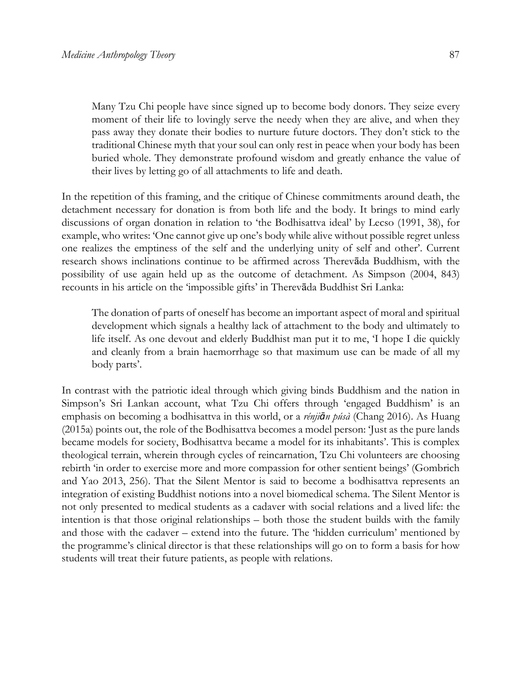Many Tzu Chi people have since signed up to become body donors. They seize every moment of their life to lovingly serve the needy when they are alive, and when they pass away they donate their bodies to nurture future doctors. They don't stick to the traditional Chinese myth that your soul can only rest in peace when your body has been buried whole. They demonstrate profound wisdom and greatly enhance the value of their lives by letting go of all attachments to life and death.

In the repetition of this framing, and the critique of Chinese commitments around death, the detachment necessary for donation is from both life and the body. It brings to mind early discussions of organ donation in relation to 'the Bodhisattva ideal' by Lecso (1991, 38), for example, who writes: 'One cannot give up one's body while alive without possible regret unless one realizes the emptiness of the self and the underlying unity of self and other'. Current research shows inclinations continue to be affirmed across Therevāda Buddhism, with the possibility of use again held up as the outcome of detachment. As Simpson (2004, 843) recounts in his article on the 'impossible gifts' in Therevāda Buddhist Sri Lanka:

The donation of parts of oneself has become an important aspect of moral and spiritual development which signals a healthy lack of attachment to the body and ultimately to life itself. As one devout and elderly Buddhist man put it to me, 'I hope I die quickly and cleanly from a brain haemorrhage so that maximum use can be made of all my body parts'.

In contrast with the patriotic ideal through which giving binds Buddhism and the nation in Simpson's Sri Lankan account, what Tzu Chi offers through 'engaged Buddhism' is an emphasis on becoming a bodhisattva in this world, or a *rénjiān púsà* (Chang 2016). As Huang (2015a) points out, the role of the Bodhisattva becomes a model person: 'Just as the pure lands became models for society, Bodhisattva became a model for its inhabitants'. This is complex theological terrain, wherein through cycles of reincarnation, Tzu Chi volunteers are choosing rebirth 'in order to exercise more and more compassion for other sentient beings' (Gombrich and Yao 2013, 256). That the Silent Mentor is said to become a bodhisattva represents an integration of existing Buddhist notions into a novel biomedical schema. The Silent Mentor is not only presented to medical students as a cadaver with social relations and a lived life: the intention is that those original relationships – both those the student builds with the family and those with the cadaver – extend into the future. The 'hidden curriculum' mentioned by the programme's clinical director is that these relationships will go on to form a basis for how students will treat their future patients, as people with relations.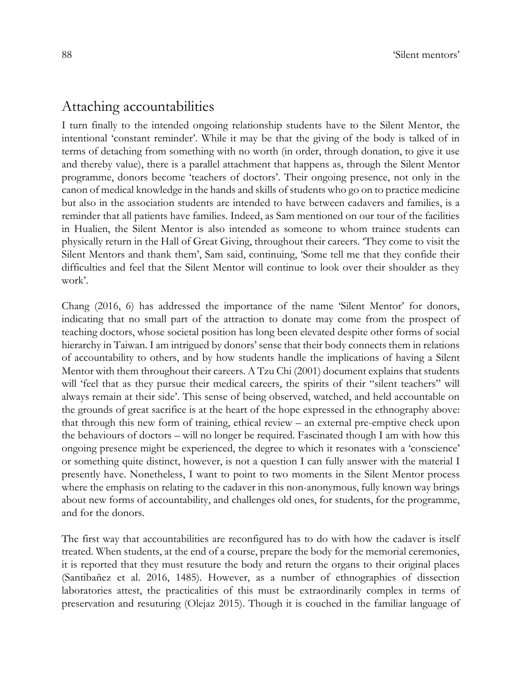## Attaching accountabilities

I turn finally to the intended ongoing relationship students have to the Silent Mentor, the intentional 'constant reminder'. While it may be that the giving of the body is talked of in terms of detaching from something with no worth (in order, through donation, to give it use and thereby value), there is a parallel attachment that happens as, through the Silent Mentor programme, donors become 'teachers of doctors'. Their ongoing presence, not only in the canon of medical knowledge in the hands and skills of students who go on to practice medicine but also in the association students are intended to have between cadavers and families, is a reminder that all patients have families. Indeed, as Sam mentioned on our tour of the facilities in Hualien, the Silent Mentor is also intended as someone to whom trainee students can physically return in the Hall of Great Giving, throughout their careers. 'They come to visit the Silent Mentors and thank them', Sam said, continuing, 'Some tell me that they confide their difficulties and feel that the Silent Mentor will continue to look over their shoulder as they work'.

Chang (2016, 6) has addressed the importance of the name 'Silent Mentor' for donors, indicating that no small part of the attraction to donate may come from the prospect of teaching doctors, whose societal position has long been elevated despite other forms of social hierarchy in Taiwan. I am intrigued by donors' sense that their body connects them in relations of accountability to others, and by how students handle the implications of having a Silent Mentor with them throughout their careers. A Tzu Chi (2001) document explains that students will 'feel that as they pursue their medical careers, the spirits of their "silent teachers" will always remain at their side'. This sense of being observed, watched, and held accountable on the grounds of great sacrifice is at the heart of the hope expressed in the ethnography above: that through this new form of training, ethical review – an external pre-emptive check upon the behaviours of doctors – will no longer be required. Fascinated though I am with how this ongoing presence might be experienced, the degree to which it resonates with a 'conscience' or something quite distinct, however, is not a question I can fully answer with the material I presently have. Nonetheless, I want to point to two moments in the Silent Mentor process where the emphasis on relating to the cadaver in this non-anonymous, fully known way brings about new forms of accountability, and challenges old ones, for students, for the programme, and for the donors.

The first way that accountabilities are reconfigured has to do with how the cadaver is itself treated. When students, at the end of a course, prepare the body for the memorial ceremonies, it is reported that they must resuture the body and return the organs to their original places (Santibañez et al. 2016, 1485). However, as a number of ethnographies of dissection laboratories attest, the practicalities of this must be extraordinarily complex in terms of preservation and resuturing (Olejaz 2015). Though it is couched in the familiar language of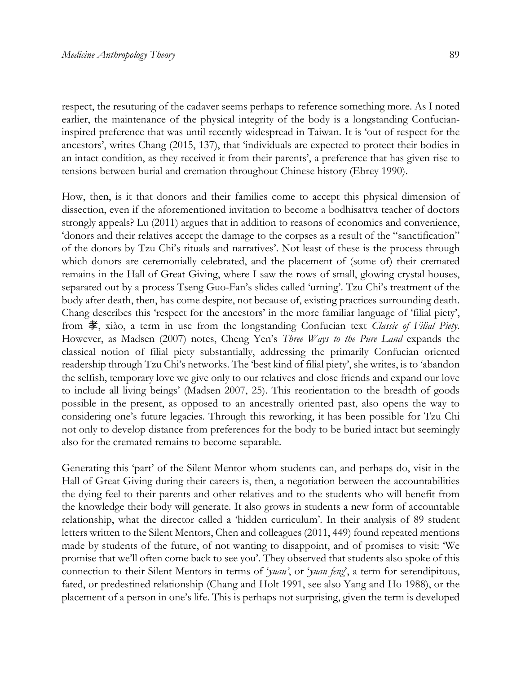respect, the resuturing of the cadaver seems perhaps to reference something more. As I noted earlier, the maintenance of the physical integrity of the body is a longstanding Confucianinspired preference that was until recently widespread in Taiwan. It is 'out of respect for the ancestors', writes Chang (2015, 137), that 'individuals are expected to protect their bodies in an intact condition, as they received it from their parents', a preference that has given rise to tensions between burial and cremation throughout Chinese history (Ebrey 1990).

How, then, is it that donors and their families come to accept this physical dimension of dissection, even if the aforementioned invitation to become a bodhisattva teacher of doctors strongly appeals? Lu (2011) argues that in addition to reasons of economics and convenience, 'donors and their relatives accept the damage to the corpses as a result of the "sanctification" of the donors by Tzu Chi's rituals and narratives'. Not least of these is the process through which donors are ceremonially celebrated, and the placement of (some of) their cremated remains in the Hall of Great Giving, where I saw the rows of small, glowing crystal houses, separated out by a process Tseng Guo-Fan's slides called 'urning'. Tzu Chi's treatment of the body after death, then, has come despite, not because of, existing practices surrounding death. Chang describes this 'respect for the ancestors' in the more familiar language of 'filial piety', from 孝, xiào, a term in use from the longstanding Confucian text *Classic of Filial Piety*. However, as Madsen (2007) notes, Cheng Yen's *Three Ways to the Pure Land* expands the classical notion of filial piety substantially, addressing the primarily Confucian oriented readership through Tzu Chi's networks. The 'best kind of filial piety', she writes, is to 'abandon the selfish, temporary love we give only to our relatives and close friends and expand our love to include all living beings' (Madsen 2007, 25). This reorientation to the breadth of goods possible in the present, as opposed to an ancestrally oriented past, also opens the way to considering one's future legacies. Through this reworking, it has been possible for Tzu Chi not only to develop distance from preferences for the body to be buried intact but seemingly also for the cremated remains to become separable.

Generating this 'part' of the Silent Mentor whom students can, and perhaps do, visit in the Hall of Great Giving during their careers is, then, a negotiation between the accountabilities the dying feel to their parents and other relatives and to the students who will benefit from the knowledge their body will generate. It also grows in students a new form of accountable relationship, what the director called a 'hidden curriculum'. In their analysis of 89 student letters written to the Silent Mentors, Chen and colleagues (2011, 449) found repeated mentions made by students of the future, of not wanting to disappoint, and of promises to visit: 'We promise that we'll often come back to see you'. They observed that students also spoke of this connection to their Silent Mentors in terms of '*yuan'*, or '*yuan feng*', a term for serendipitous, fated, or predestined relationship (Chang and Holt 1991, see also Yang and Ho 1988), or the placement of a person in one's life. This is perhaps not surprising, given the term is developed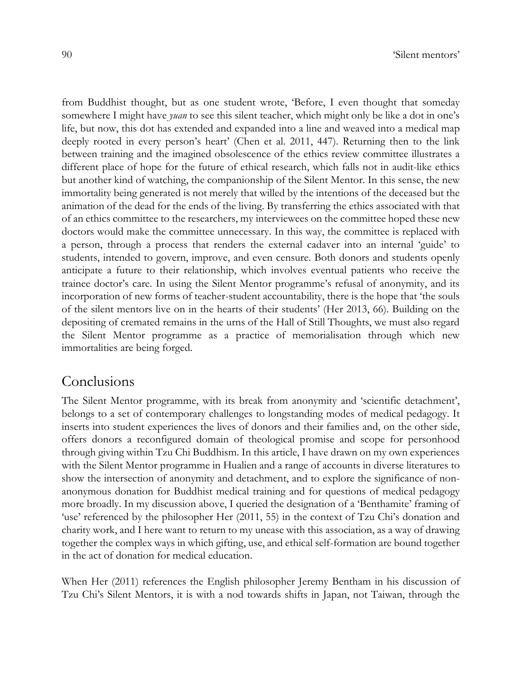from Buddhist thought, but as one student wrote, 'Before, I even thought that someday somewhere I might have *yuan* to see this silent teacher, which might only be like a dot in one's life, but now, this dot has extended and expanded into a line and weaved into a medical map deeply rooted in every person's heart' (Chen et al. 2011, 447). Returning then to the link between training and the imagined obsolescence of the ethics review committee illustrates a different place of hope for the future of ethical research, which falls not in audit-like ethics but another kind of watching, the companionship of the Silent Mentor. In this sense, the new immortality being generated is not merely that willed by the intentions of the deceased but the animation of the dead for the ends of the living. By transferring the ethics associated with that of an ethics committee to the researchers, my interviewees on the committee hoped these new doctors would make the committee unnecessary. In this way, the committee is replaced with a person, through a process that renders the external cadaver into an internal 'guide' to students, intended to govern, improve, and even censure. Both donors and students openly anticipate a future to their relationship, which involves eventual patients who receive the trainee doctor's care. In using the Silent Mentor programme's refusal of anonymity, and its incorporation of new forms of teacher-student accountability, there is the hope that 'the souls of the silent mentors live on in the hearts of their students' (Her 2013, 66). Building on the depositing of cremated remains in the urns of the Hall of Still Thoughts, we must also regard the Silent Mentor programme as a practice of memorialisation through which new immortalities are being forged.

#### Conclusions

The Silent Mentor programme, with its break from anonymity and 'scientific detachment', belongs to a set of contemporary challenges to longstanding modes of medical pedagogy. It inserts into student experiences the lives of donors and their families and, on the other side, offers donors a reconfigured domain of theological promise and scope for personhood through giving within Tzu Chi Buddhism. In this article, I have drawn on my own experiences with the Silent Mentor programme in Hualien and a range of accounts in diverse literatures to show the intersection of anonymity and detachment, and to explore the significance of nonanonymous donation for Buddhist medical training and for questions of medical pedagogy more broadly. In my discussion above, I queried the designation of a 'Benthamite' framing of 'use' referenced by the philosopher Her (2011, 55) in the context of Tzu Chi's donation and charity work, and I here want to return to my unease with this association, as a way of drawing together the complex ways in which gifting, use, and ethical self-formation are bound together in the act of donation for medical education.

When Her (2011) references the English philosopher Jeremy Bentham in his discussion of Tzu Chi's Silent Mentors, it is with a nod towards shifts in Japan, not Taiwan, through the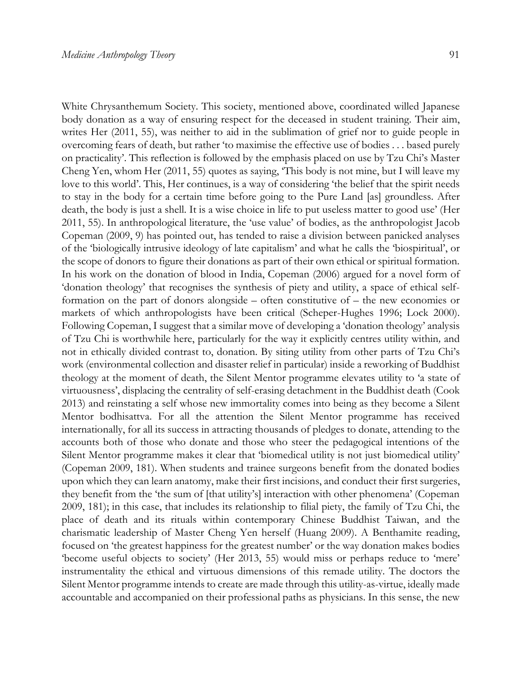White Chrysanthemum Society. This society, mentioned above, coordinated willed Japanese body donation as a way of ensuring respect for the deceased in student training. Their aim, writes Her (2011, 55), was neither to aid in the sublimation of grief nor to guide people in overcoming fears of death, but rather 'to maximise the effective use of bodies . . . based purely on practicality'. This reflection is followed by the emphasis placed on use by Tzu Chi's Master Cheng Yen, whom Her (2011, 55) quotes as saying, 'This body is not mine, but I will leave my love to this world'. This, Her continues, is a way of considering 'the belief that the spirit needs to stay in the body for a certain time before going to the Pure Land [as] groundless. After death, the body is just a shell. It is a wise choice in life to put useless matter to good use' (Her 2011, 55). In anthropological literature, the 'use value' of bodies, as the anthropologist Jacob Copeman (2009, 9) has pointed out, has tended to raise a division between panicked analyses of the 'biologically intrusive ideology of late capitalism' and what he calls the 'biospiritual', or the scope of donors to figure their donations as part of their own ethical or spiritual formation. In his work on the donation of blood in India, Copeman (2006) argued for a novel form of 'donation theology' that recognises the synthesis of piety and utility, a space of ethical selfformation on the part of donors alongside – often constitutive of – the new economies or markets of which anthropologists have been critical (Scheper-Hughes 1996; Lock 2000). Following Copeman, I suggest that a similar move of developing a 'donation theology' analysis of Tzu Chi is worthwhile here, particularly for the way it explicitly centres utility within*,* and not in ethically divided contrast to, donation. By siting utility from other parts of Tzu Chi's work (environmental collection and disaster relief in particular) inside a reworking of Buddhist theology at the moment of death, the Silent Mentor programme elevates utility to 'a state of virtuousness', displacing the centrality of self-erasing detachment in the Buddhist death (Cook 2013) and reinstating a self whose new immortality comes into being as they become a Silent Mentor bodhisattva. For all the attention the Silent Mentor programme has received internationally, for all its success in attracting thousands of pledges to donate, attending to the accounts both of those who donate and those who steer the pedagogical intentions of the Silent Mentor programme makes it clear that 'biomedical utility is not just biomedical utility' (Copeman 2009, 181). When students and trainee surgeons benefit from the donated bodies upon which they can learn anatomy, make their first incisions, and conduct their first surgeries, they benefit from the 'the sum of [that utility's] interaction with other phenomena' (Copeman 2009, 181); in this case, that includes its relationship to filial piety, the family of Tzu Chi, the place of death and its rituals within contemporary Chinese Buddhist Taiwan, and the charismatic leadership of Master Cheng Yen herself (Huang 2009). A Benthamite reading, focused on 'the greatest happiness for the greatest number' or the way donation makes bodies 'become useful objects to society' (Her 2013, 55) would miss or perhaps reduce to 'mere' instrumentality the ethical and virtuous dimensions of this remade utility. The doctors the Silent Mentor programme intends to create are made through this utility-as-virtue, ideally made accountable and accompanied on their professional paths as physicians. In this sense, the new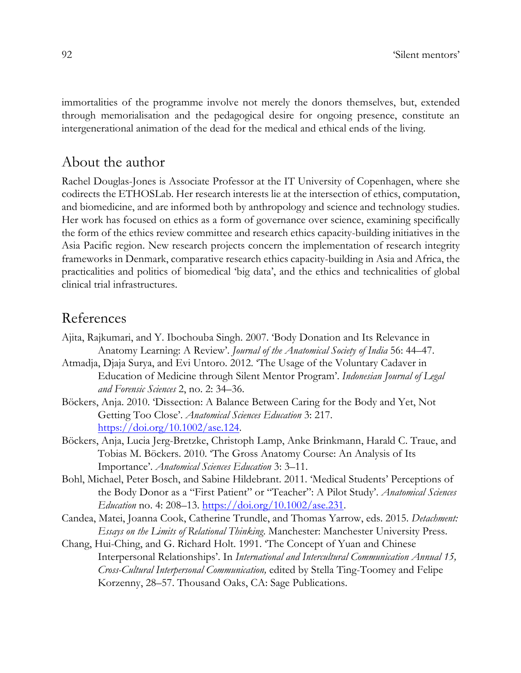immortalities of the programme involve not merely the donors themselves, but, extended through memorialisation and the pedagogical desire for ongoing presence, constitute an intergenerational animation of the dead for the medical and ethical ends of the living.

## About the author

Rachel Douglas-Jones is Associate Professor at the IT University of Copenhagen, where she codirects the ETHOSLab. Her research interests lie at the intersection of ethics, computation, and biomedicine, and are informed both by anthropology and science and technology studies. Her work has focused on ethics as a form of governance over science, examining specifically the form of the ethics review committee and research ethics capacity-building initiatives in the Asia Pacific region. New research projects concern the implementation of research integrity frameworks in Denmark, comparative research ethics capacity-building in Asia and Africa, the practicalities and politics of biomedical 'big data', and the ethics and technicalities of global clinical trial infrastructures.

## References

- Ajita, Rajkumari, and Y. Ibochouba Singh. 2007. 'Body Donation and Its Relevance in Anatomy Learning: A Review'. *Journal of the Anatomical Society of India* 56: 44–47.
- Atmadja, Djaja Surya, and Evi Untoro. 2012. 'The Usage of the Voluntary Cadaver in Education of Medicine through Silent Mentor Program'. *Indonesian Journal of Legal and Forensic Sciences* 2, no. 2: 34–36.
- Böckers, Anja. 2010. 'Dissection: A Balance Between Caring for the Body and Yet, Not Getting Too Close'. *Anatomical Sciences Education* 3: 217. https://doi.org/10.1002/ase.124.
- Böckers, Anja, Lucia Jerg-Bretzke, Christoph Lamp, Anke Brinkmann, Harald C. Traue, and Tobias M. Böckers. 2010. 'The Gross Anatomy Course: An Analysis of Its Importance'. *Anatomical Sciences Education* 3: 3–11.
- Bohl, Michael, Peter Bosch, and Sabine Hildebrant. 2011. 'Medical Students' Perceptions of the Body Donor as a "First Patient" or "Teacher": A Pilot Study'. *Anatomical Sciences Education* no. 4: 208–13. https://doi.org/10.1002/ase.231.
- Candea, Matei, Joanna Cook, Catherine Trundle, and Thomas Yarrow, eds. 2015. *Detachment: Essays on the Limits of Relational Thinking*. Manchester: Manchester University Press.
- Chang, Hui-Ching, and G. Richard Holt. 1991. 'The Concept of Yuan and Chinese Interpersonal Relationships'. In *International and Intercultural Communication Annual 15, Cross-Cultural Interpersonal Communication,* edited by Stella Ting-Toomey and Felipe Korzenny, 28–57. Thousand Oaks, CA: Sage Publications.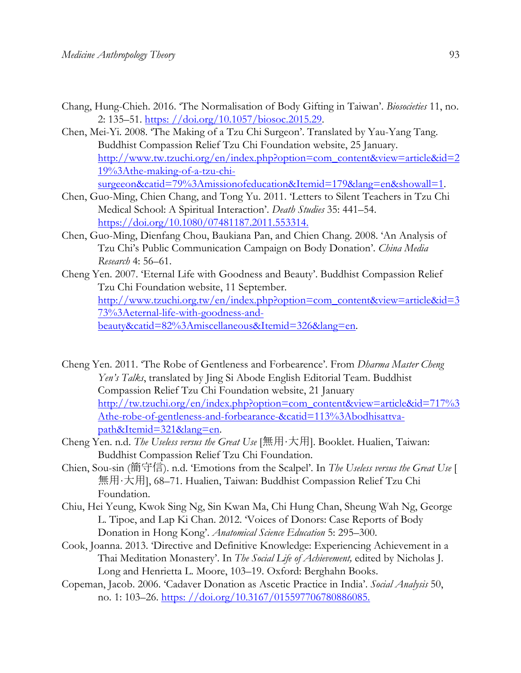- Chang, Hung-Chieh. 2016. 'The Normalisation of Body Gifting in Taiwan'. *Biosocieties* 11, no. 2: 135–51. https: //doi.org/10.1057/biosoc.2015.29.
- Chen, Mei-Yi. 2008. 'The Making of a Tzu Chi Surgeon'. Translated by Yau-Yang Tang. Buddhist Compassion Relief Tzu Chi Foundation website, 25 January. http://www.tw.tzuchi.org/en/index.php?option=com\_content&view=article&id=2 19%3Athe-making-of-a-tzu-chisurgeeon&catid=79%3Amissionofeducation&Itemid=179&lang=en&showall=1.
- Chen, Guo-Ming, Chien Chang, and Tong Yu. 2011. 'Letters to Silent Teachers in Tzu Chi Medical School: A Spiritual Interaction'. *Death Studies* 35: 441–54. https://doi.org/10.1080/07481187.2011.553314.
- Chen, Guo-Ming, Dienfang Chou, Baukiana Pan, and Chien Chang. 2008. 'An Analysis of Tzu Chi's Public Communication Campaign on Body Donation'. *China Media Research* 4: 56–61.
- Cheng Yen. 2007. 'Eternal Life with Goodness and Beauty'. Buddhist Compassion Relief Tzu Chi Foundation website, 11 September. http://www.tzuchi.org.tw/en/index.php?option=com\_content&view=article&id=3 73%3Aeternal-life-with-goodness-andbeauty&catid=82%3Amiscellaneous&Itemid=326&lang=en.
- Cheng Yen. 2011. 'The Robe of Gentleness and Forbearence'. From *Dharma Master Cheng Yen's Talks*, translated by Jing Si Abode English Editorial Team. Buddhist Compassion Relief Tzu Chi Foundation website, 21 January http://tw.tzuchi.org/en/index.php?option=com\_content&view=article&id=717%3 Athe-robe-of-gentleness-and-forbearance-&catid=113%3Abodhisattvapath&Itemid=321&lang=en.
- Cheng Yen. n.d. *The Useless versus the Great Use* [無用‧大用]. Booklet. Hualien, Taiwan: Buddhist Compassion Relief Tzu Chi Foundation.
- Chien, Sou-sin (簡守信). n.d. 'Emotions from the Scalpel'. In *The Useless versus the Great Use* [ 無用‧大用], 68–71. Hualien, Taiwan: Buddhist Compassion Relief Tzu Chi Foundation.
- Chiu, Hei Yeung, Kwok Sing Ng, Sin Kwan Ma, Chi Hung Chan, Sheung Wah Ng, George L. Tipoe, and Lap Ki Chan. 2012. 'Voices of Donors: Case Reports of Body Donation in Hong Kong'. *Anatomical Science Education* 5: 295–300.
- Cook, Joanna. 2013. 'Directive and Definitive Knowledge: Experiencing Achievement in a Thai Meditation Monastery'. In *The Social Life of Achievement,* edited by Nicholas J. Long and Henrietta L. Moore, 103–19. Oxford: Berghahn Books.
- Copeman, Jacob. 2006. 'Cadaver Donation as Ascetic Practice in India'. *Social Analysis* 50, no. 1: 103–26. https://doi.org/10.3167/015597706780886085.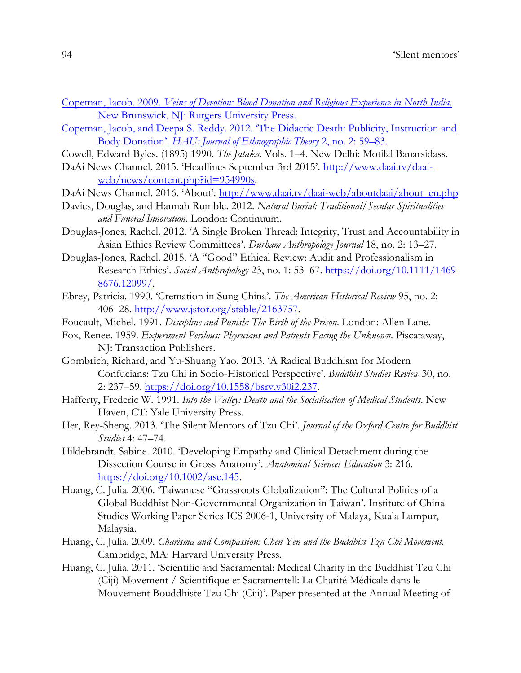- Copeman, Jacob. 2009. *Veins of Devotion: Blood Donation and Religious Experience in North India*. New Brunswick, NJ: Rutgers University Press.
- Copeman, Jacob, and Deepa S. Reddy. 2012. 'The Didactic Death: Publicity, Instruction and Body Donation'. *HAU: Journal of Ethnographic Theory* 2, no. 2: 59–83.
- Cowell, Edward Byles. (1895) 1990. *The Jataka.* Vols. 1–4. New Delhi: Motilal Banarsidass.
- DaAi News Channel. 2015. 'Headlines September 3rd 2015'. http://www.daai.tv/daaiweb/news/content.php?id=954990s.
- DaAi News Channel. 2016. 'About'. http://www.daai.tv/daai-web/aboutdaai/about\_en.php
- Davies, Douglas, and Hannah Rumble. 2012. *Natural Burial: Traditional/Secular Spiritualities and Funeral Innovation*. London: Continuum.
- Douglas-Jones, Rachel. 2012. 'A Single Broken Thread: Integrity, Trust and Accountability in Asian Ethics Review Committees'. *Durham Anthropology Journal* 18, no. 2: 13–27.
- Douglas-Jones, Rachel. 2015. 'A "Good" Ethical Review: Audit and Professionalism in Research Ethics'. *Social Anthropology* 23, no. 1: 53–67. https://doi.org/10.1111/1469- 8676.12099/.
- Ebrey, Patricia. 1990. 'Cremation in Sung China'. *The American Historical Review* 95, no. 2: 406–28. http://www.jstor.org/stable/2163757.
- Foucault, Michel. 1991. *Discipline and Punish: The Birth of the Prison*. London: Allen Lane.
- Fox, Renee. 1959. *Experiment Perilous: Physicians and Patients Facing the Unknown*. Piscataway, NJ: Transaction Publishers.
- Gombrich, Richard, and Yu-Shuang Yao. 2013. 'A Radical Buddhism for Modern Confucians: Tzu Chi in Socio-Historical Perspective'. *Buddhist Studies Review* 30, no. 2: 237–59. https://doi.org/10.1558/bsrv.v30 $i2.237$ .
- Hafferty, Frederic W. 1991. *Into the Valley: Death and the Socialisation of Medical Students*. New Haven, CT: Yale University Press.
- Her, Rey-Sheng. 2013. 'The Silent Mentors of Tzu Chi'. *Journal of the Oxford Centre for Buddhist Studies* 4: 47–74.
- Hildebrandt, Sabine. 2010. 'Developing Empathy and Clinical Detachment during the Dissection Course in Gross Anatomy'. *Anatomical Sciences Education* 3: 216. https://doi.org/10.1002/ase.145.
- Huang, C. Julia. 2006. 'Taiwanese "Grassroots Globalization": The Cultural Politics of a Global Buddhist Non-Governmental Organization in Taiwan'. Institute of China Studies Working Paper Series ICS 2006-1, University of Malaya, Kuala Lumpur, Malaysia.
- Huang, C. Julia. 2009. *Charisma and Compassion: Chen Yen and the Buddhist Tzu Chi Movement.*  Cambridge, MA: Harvard University Press.
- Huang, C. Julia. 2011. 'Scientific and Sacramental: Medical Charity in the Buddhist Tzu Chi (Ciji) Movement / Scientifique et Sacramentell: La Charité Médicale dans le Mouvement Bouddhiste Tzu Chi (Ciji)'. Paper presented at the Annual Meeting of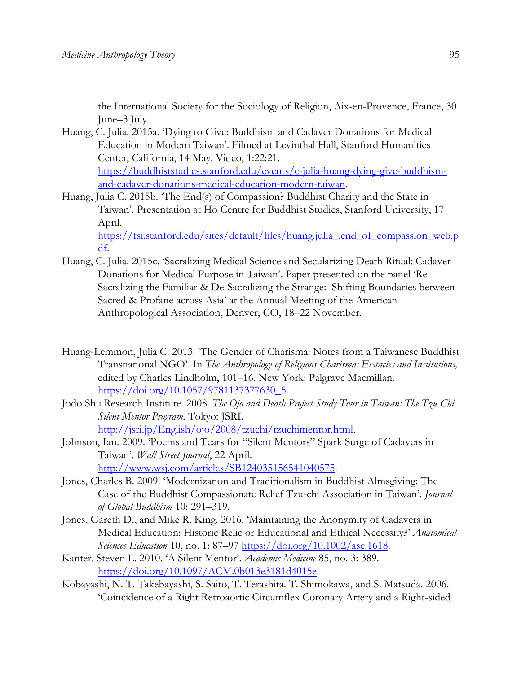the International Society for the Sociology of Religion, Aix-en-Provence, France, 30 June–3 July.

- Huang, C. Julia. 2015a. 'Dying to Give: Buddhism and Cadaver Donations for Medical Education in Modern Taiwan'. Filmed at Levinthal Hall, Stanford Humanities Center, California, 14 May. Video, 1:22:21. https://buddhiststudies.stanford.edu/events/c-julia-huang-dying-give-buddhismand-cadaver-donations-medical-education-modern-taiwan.
- Huang, Julia C. 2015b. 'The End(s) of Compassion? Buddhist Charity and the State in Taiwan'. Presentation at Ho Centre for Buddhist Studies, Stanford University, 17 April.

https://fsi.stanford.edu/sites/default/files/huang.julia\_.end\_of\_compassion\_web.p df.

- Huang, C. Julia. 2015c. 'Sacralizing Medical Science and Secularizing Death Ritual: Cadaver Donations for Medical Purpose in Taiwan'. Paper presented on the panel 'Re-Sacralizing the Familiar & De-Sacralizing the Strange: Shifting Boundaries between Sacred & Profane across Asia' at the Annual Meeting of the American Anthropological Association, Denver, CO, 18–22 November.
- Huang-Lemmon, Julia C. 2013. 'The Gender of Charisma: Notes from a Taiwanese Buddhist Transnational NGO'. In *The Anthropology of Religious Charisma: Ecstacies and Institutions,*  edited by Charles Lindholm, 101–16. New York: Palgrave Macmillan. https://doi.org/10.1057/9781137377630\_5.
- Jodo Shu Research Institute. 2008. *The Ojo and Death Project Study Tour in Taiwan: The Tzu Chi Silent Mentor Program.* Tokyo: JSRI. http://jsri.jp/English/ojo/2008/tzuchi/tzuchimentor.html.
- Johnson, Ian. 2009. 'Poems and Tears for "Silent Mentors" Spark Surge of Cadavers in Taiwan'. *Wall Street Journal*, 22 April. http://www.wsj.com/articles/SB124035156541040575.
- Jones, Charles B. 2009. 'Modernization and Traditionalism in Buddhist Almsgiving: The Case of the Buddhist Compassionate Relief Tzu-chi Association in Taiwan'. *Journal of Global Buddhism* 10: 291–319.
- Jones, Gareth D., and Mike R. King. 2016. 'Maintaining the Anonymity of Cadavers in Medical Education: Historic Relic or Educational and Ethical Necessity?' *Anatomical Sciences Education* 10, no. 1: 87–97 https://doi.org/10.1002/ase.1618.
- Kanter, Steven L. 2010. 'A Silent Mentor'. *Academic Medicine* 85, no. 3: 389. https://doi.org/10.1097/ACM.0b013e3181d4015e.
- Kobayashi, N. T. Takebayashi, S. Saito, T. Terashita. T. Shimokawa, and S. Matsuda. 2006. 'Coincidence of a Right Retroaortic Circumflex Coronary Artery and a Right-sided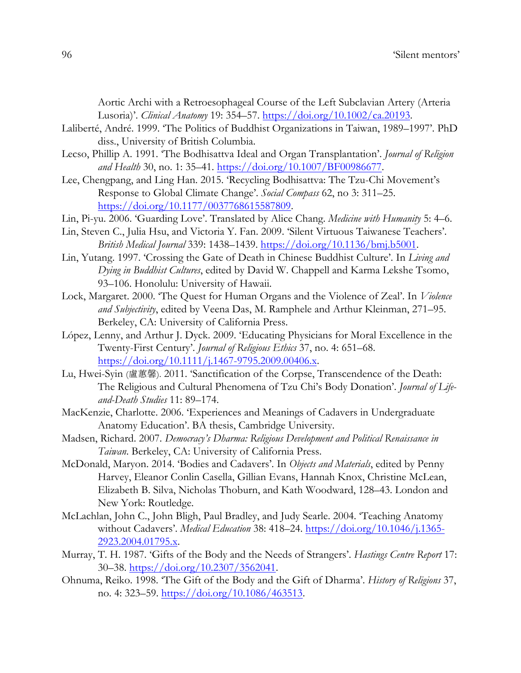Aortic Archi with a Retroesophageal Course of the Left Subclavian Artery (Arteria Lusoria)'. *Clinical Anatomy* 19: 354–57. https://doi.org/10.1002/ca.20193.

- Laliberté, André. 1999. 'The Politics of Buddhist Organizations in Taiwan, 1989–1997'. PhD diss., University of British Columbia.
- Lecso, Phillip A. 1991. 'The Bodhisattva Ideal and Organ Transplantation'. *Journal of Religion and Health* 30, no. 1: 35–41. https://doi.org/10.1007/BF00986677.
- Lee, Chengpang, and Ling Han. 2015. 'Recycling Bodhisattva: The Tzu-Chi Movement's Response to Global Climate Change'. *Social Compass* 62, no 3: 311–25. https://doi.org/10.1177/0037768615587809.
- Lin, Pi-yu. 2006. 'Guarding Love'. Translated by Alice Chang. *Medicine with Humanity* 5: 4–6.
- Lin, Steven C., Julia Hsu, and Victoria Y. Fan. 2009. 'Silent Virtuous Taiwanese Teachers'. *British Medical Journal* 339: 1438–1439. https://doi.org/10.1136/bmj.b5001.
- Lin, Yutang. 1997. 'Crossing the Gate of Death in Chinese Buddhist Culture'. In *Living and Dying in Buddhist Cultures*, edited by David W. Chappell and Karma Lekshe Tsomo, 93–106. Honolulu: University of Hawaii.
- Lock, Margaret. 2000. 'The Quest for Human Organs and the Violence of Zeal'. In *Violence and Subjectivity*, edited by Veena Das, M. Ramphele and Arthur Kleinman, 271–95. Berkeley, CA: University of California Press.
- López, Lenny, and Arthur J. Dyck. 2009. 'Educating Physicians for Moral Excellence in the Twenty-First Century'. *Journal of Religious Ethics* 37, no. 4: 651–68. https://doi.org/10.1111/j.1467-9795.2009.00406.x.
- Lu, Hwei-Syin (盧蕙馨). 2011. 'Sanctification of the Corpse, Transcendence of the Death: The Religious and Cultural Phenomena of Tzu Chi's Body Donation'. *Journal of Lifeand-Death Studies* 11: 89–174.
- MacKenzie, Charlotte. 2006. 'Experiences and Meanings of Cadavers in Undergraduate Anatomy Education'. BA thesis, Cambridge University.
- Madsen, Richard. 2007. *Democracy's Dharma: Religious Development and Political Renaissance in Taiwan*. Berkeley, CA: University of California Press.
- McDonald, Maryon. 2014. 'Bodies and Cadavers'. In *Objects and Materials*, edited by Penny Harvey, Eleanor Conlin Casella, Gillian Evans, Hannah Knox, Christine McLean, Elizabeth B. Silva, Nicholas Thoburn, and Kath Woodward, 128–43. London and New York: Routledge.
- McLachlan, John C., John Bligh, Paul Bradley, and Judy Searle. 2004. 'Teaching Anatomy without Cadavers'. *Medical Education* 38: 418–24. https://doi.org/10.1046/j.1365- 2923.2004.01795.x.
- Murray, T. H. 1987. 'Gifts of the Body and the Needs of Strangers'. *Hastings Centre Report* 17: 30–38. https://doi.org/10.2307/3562041.
- Ohnuma, Reiko. 1998. 'The Gift of the Body and the Gift of Dharma'. *History of Religions* 37, no. 4: 323–59. https://doi.org/10.1086/463513.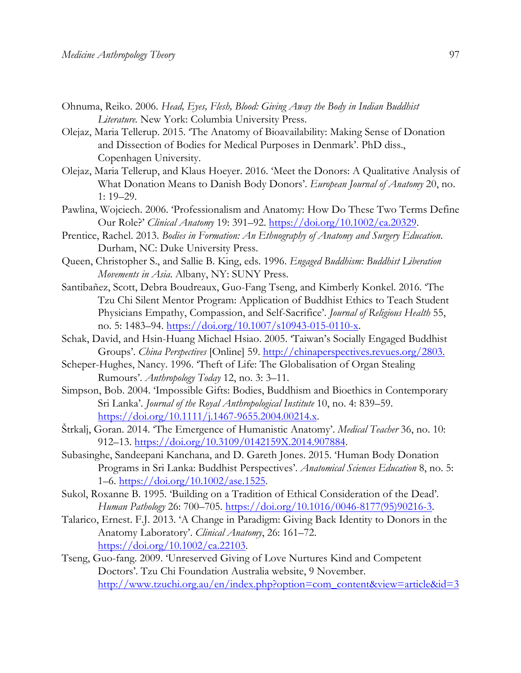- Ohnuma, Reiko. 2006. *Head, Eyes, Flesh, Blood: Giving Away the Body in Indian Buddhist Literature.* New York: Columbia University Press.
- Olejaz, Maria Tellerup. 2015. 'The Anatomy of Bioavailability: Making Sense of Donation and Dissection of Bodies for Medical Purposes in Denmark'. PhD diss., Copenhagen University.
- Olejaz, Maria Tellerup, and Klaus Hoeyer. 2016. 'Meet the Donors: A Qualitative Analysis of What Donation Means to Danish Body Donors'. *European Journal of Anatomy* 20, no. 1: 19–29.
- Pawlina, Wojciech. 2006. 'Professionalism and Anatomy: How Do These Two Terms Define Our Role?' *Clinical Anatomy* 19: 391–92. https://doi.org/10.1002/ca.20329.
- Prentice, Rachel. 2013. *Bodies in Formation: An Ethnography of Anatomy and Surgery Education*. Durham, NC: Duke University Press.
- Queen, Christopher S., and Sallie B. King, eds. 1996. *Engaged Buddhism: Buddhist Liberation Movements in Asia*. Albany, NY: SUNY Press.
- Santibañez, Scott, Debra Boudreaux, Guo-Fang Tseng, and Kimberly Konkel. 2016. 'The Tzu Chi Silent Mentor Program: Application of Buddhist Ethics to Teach Student Physicians Empathy, Compassion, and Self-Sacrifice'. *Journal of Religious Health* 55, no. 5: 1483–94. https://doi.org/10.1007/s10943-015-0110-x.
- Schak, David, and Hsin-Huang Michael Hsiao. 2005. 'Taiwan's Socially Engaged Buddhist Groups'. *China Perspectives* [Online] 59. http://chinaperspectives.revues.org/2803.
- Scheper-Hughes, Nancy. 1996. 'Theft of Life: The Globalisation of Organ Stealing Rumours'. *Anthropology Today* 12, no. 3: 3–11.
- Simpson, Bob. 2004. 'Impossible Gifts: Bodies, Buddhism and Bioethics in Contemporary Sri Lanka'. *Journal of the Royal Anthropological Institute* 10, no. 4: 839–59. https://doi.org/10.1111/j.1467-9655.2004.00214.x.
- Štrkalj, Goran. 2014. 'The Emergence of Humanistic Anatomy'. *Medical Teacher* 36, no. 10: 912–13. https://doi.org/10.3109/0142159X.2014.907884.
- Subasinghe, Sandeepani Kanchana, and D. Gareth Jones. 2015. 'Human Body Donation Programs in Sri Lanka: Buddhist Perspectives'. *Anatomical Sciences Education* 8, no. 5: 1–6. https://doi.org/10.1002/ase.1525.
- Sukol, Roxanne B. 1995. 'Building on a Tradition of Ethical Consideration of the Dead'*. Human Pathology* 26: 700–705. https://doi.org/10.1016/0046-8177(95)90216-3.
- Talarico, Ernest. F.J. 2013. 'A Change in Paradigm: Giving Back Identity to Donors in the Anatomy Laboratory'. *Clinical Anatomy*, 26: 161–72. https://doi.org/10.1002/ca.22103.
- Tseng, Guo-fang. 2009. 'Unreserved Giving of Love Nurtures Kind and Competent Doctors'. Tzu Chi Foundation Australia website, 9 November. http://www.tzuchi.org.au/en/index.php?option=com\_content&view=article&id=3